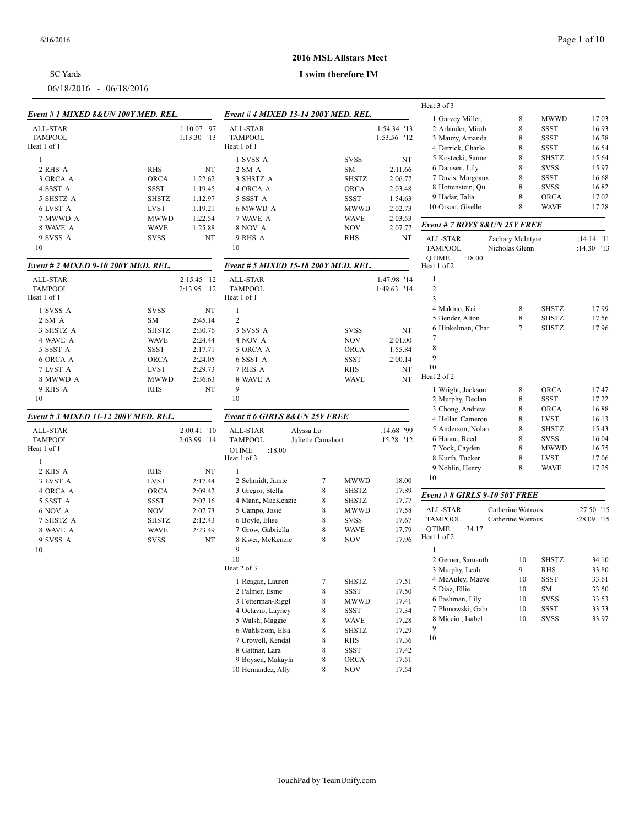| SC Yards                |  |
|-------------------------|--|
| 06/18/2016 - 06/18/2016 |  |

### **2016 MSL Allstars Meet**

|                                      |              |             |                                      |                   |              |              | Heat 3 of 3                           |                   |              |              |
|--------------------------------------|--------------|-------------|--------------------------------------|-------------------|--------------|--------------|---------------------------------------|-------------------|--------------|--------------|
| Event # 1 MIXED 8& UN 100Y MED. REL. |              |             | Event # 4 MIXED 13-14 200Y MED, REL, |                   |              |              | 1 Garvey Miller,                      | 8                 | <b>MWWD</b>  | 17.03        |
| <b>ALL-STAR</b>                      |              | 1:10.07 '97 | <b>ALL-STAR</b>                      |                   |              | 1:54.34 '13  | 2 Arlander, Mirab                     | 8                 | <b>SSST</b>  | 16.93        |
| <b>TAMPOOL</b>                       |              | 1:13.30 '13 | <b>TAMPOOL</b>                       |                   |              | 1:53.56 '12  | 3 Mauzy, Amanda                       | 8                 | SSST         | 16.78        |
| Heat 1 of 1                          |              |             | Heat 1 of 1                          |                   |              |              | 4 Derrick, Charlo                     | 8                 | <b>SSST</b>  | 16.54        |
| -1                                   |              |             | 1 SVSS A                             |                   | <b>SVSS</b>  | NT           | 5 Kostecki, Sanne                     | 8                 | <b>SHSTZ</b> | 15.64        |
|                                      |              |             |                                      |                   |              |              | 6 Damsen, Lily                        | 8                 | <b>SVSS</b>  | 15.97        |
| 2 RHS A                              | RHS          | NT          | 2 SM A                               |                   | SM           | 2:11.66      | 7 Davis, Margeaux                     | 8                 | <b>SSST</b>  | 16.68        |
| 3 ORCA A                             | <b>ORCA</b>  | 1:22.62     | 3 SHSTZ A                            |                   | <b>SHSTZ</b> | 2:06.77      | 8 Hottenstein, Qu                     | 8                 | <b>SVSS</b>  | 16.82        |
| 4 SSST A                             | SSST         | 1:19.45     | 4 ORCA A                             |                   | ORCA         | 2:03.48      |                                       | 8                 |              |              |
| 5 SHSTZ A                            | <b>SHSTZ</b> | 1:12.97     | 5 SSST A                             |                   | SSST         | 1:54.63      | 9 Hadar, Talia                        |                   | <b>ORCA</b>  | 17.02        |
| 6 LVST A                             | <b>LVST</b>  | 1:19.21     | 6 MWWD A                             |                   | <b>MWWD</b>  | 2:02.73      | 10 Orson, Giselle                     | 8                 | <b>WAVE</b>  | 17.28        |
| 7 MWWD A                             | <b>MWWD</b>  | 1:22.54     | 7 WAVE A                             |                   | <b>WAVE</b>  | 2:03.53      | Event # 7 BOYS 8& UN 25Y FREE         |                   |              |              |
| 8 WAVE A                             | <b>WAVE</b>  | 1:25.88     | <b>8 NOV A</b>                       |                   | <b>NOV</b>   | 2:07.77      |                                       |                   |              |              |
| 9 SVSS A                             | <b>SVSS</b>  | NT          | 9 RHS A                              |                   | <b>RHS</b>   | NT           | ALL-STAR                              | Zachary McIntyre  |              | $:14.14$ '11 |
| 10                                   |              |             | 10                                   |                   |              |              | <b>TAMPOOL</b>                        | Nicholas Glenn    |              | :14.30 '13   |
| Event # 2 MIXED 9-10 200Y MED. REL.  |              |             | Event # 5 MIXED 15-18 200Y MED. REL. |                   |              |              | <b>QTIME</b><br>:18.00<br>Heat 1 of 2 |                   |              |              |
| ALL-STAR                             |              | 2:15.45 '12 | <b>ALL-STAR</b>                      |                   |              | 1:47.98 '14  | $\mathbf{1}$                          |                   |              |              |
| <b>TAMPOOL</b>                       |              | 2:13.95 '12 | <b>TAMPOOL</b>                       |                   |              | 1:49.63 '14  | $\sqrt{2}$                            |                   |              |              |
| Heat 1 of 1                          |              |             | Heat 1 of 1                          |                   |              |              | 3                                     |                   |              |              |
| 1 SVSS A                             | <b>SVSS</b>  | NT          | $\mathbf{1}$                         |                   |              |              | 4 Makino, Kai                         | 8                 | <b>SHSTZ</b> | 17.99        |
| 2 SM A                               | SM           | 2:45.14     | $\overline{c}$                       |                   |              |              | 5 Bender, Alton                       | 8                 | <b>SHSTZ</b> | 17.56        |
| 3 SHSTZ A                            | <b>SHSTZ</b> | 2:30.76     | 3 SVSS A                             |                   | <b>SVSS</b>  | NT           | 6 Hinkelman, Char                     | 7                 | <b>SHSTZ</b> | 17.96        |
| 4 WAVE A                             | <b>WAVE</b>  | 2:24.44     | 4 NOV A                              |                   | <b>NOV</b>   | 2:01.00      | 7                                     |                   |              |              |
| 5 SSST A                             | <b>SSST</b>  | 2:17.71     | 5 ORCA A                             |                   | <b>ORCA</b>  | 1:55.84      | $\,$ 8 $\,$                           |                   |              |              |
| 6 ORCA A                             | ORCA         | 2:24.05     | 6 SSST A                             |                   | SSST         | 2:00.14      | 9                                     |                   |              |              |
| 7 LVST A                             | <b>LVST</b>  | 2:29.73     | 7 RHS A                              |                   | RHS          | NT           | 10                                    |                   |              |              |
| 8 MWWD A                             | <b>MWWD</b>  | 2:36.63     | 8 WAVE A                             |                   | <b>WAVE</b>  | NT           | Heat 2 of 2                           |                   |              |              |
| 9 RHS A                              | <b>RHS</b>   | NT          | 9                                    |                   |              |              | 1 Wright, Jackson                     | 8                 | <b>ORCA</b>  | 17.47        |
| 10                                   |              |             | 10                                   |                   |              |              | 2 Murphy, Declan                      | 8                 | SSST         | 17.22        |
|                                      |              |             |                                      |                   |              |              |                                       |                   | ORCA         | 16.88        |
| Event # 3 MIXED 11-12 200Y MED. REL. |              |             | Event # 6 GIRLS 8& UN 25Y FREE       |                   |              |              | 3 Chong, Andrew<br>4 Hellar, Cameron  | 8<br>8            | <b>LVST</b>  | 16.13        |
| ALL-STAR                             |              | 2:00.41 '10 | ALL-STAR                             | Alyssa Lo         |              | $:14.68$ '99 | 5 Anderson, Nolan                     | $\,8\,$           | <b>SHSTZ</b> | 15.43        |
| <b>TAMPOOL</b>                       |              | 2:03.99 '14 | <b>TAMPOOL</b>                       | Juliette Camahort |              | $:15.28$ '12 | 6 Hanna, Reed                         | 8                 | <b>SVSS</b>  | 16.04        |
| Heat 1 of 1                          |              |             | <b>OTIME</b><br>:18.00               |                   |              |              | 7 Yock, Cayden                        | 8                 | <b>MWWD</b>  | 16.75        |
|                                      |              |             | Heat 1 of 3                          |                   |              |              | 8 Kurth, Tucker                       | 8                 | <b>LVST</b>  | 17.06        |
| $\mathbf{1}$                         |              |             |                                      |                   |              |              | 9 Noblin, Henry                       | 8                 | <b>WAVE</b>  | 17.25        |
| 2 RHS A                              | RHS          | NT          | $\mathbf{1}$                         |                   |              |              | 10                                    |                   |              |              |
| 3 LVST A                             | <b>LVST</b>  | 2:17.44     | 2 Schmidt, Jamie                     | 7                 | <b>MWWD</b>  | 18.00        |                                       |                   |              |              |
| 4 ORCA A                             | ORCA         | 2:09.42     | 3 Gregor, Stella                     | 8                 | SHSTZ        | 17.89        | Event # 8 GIRLS 9-10 50Y FREE         |                   |              |              |
| 5 SSST A                             | <b>SSST</b>  | 2:07.16     | 4 Mann, MacKenzie                    | 8                 | <b>SHSTZ</b> | 17.77        |                                       |                   |              |              |
| 6 NOV A                              | <b>NOV</b>   | 2:07.73     | 5 Campo, Josie                       | $\,8\,$           | <b>MWWD</b>  | 17.58        | ALL-STAR                              | Catherine Watrous |              | :27.50 '15   |
| 7 SHSTZ A                            | <b>SHSTZ</b> | 2:12.43     | 6 Boyle, Elise                       | $\,8\,$           | <b>SVSS</b>  | 17.67        | <b>TAMPOOL</b>                        | Catherine Watrous |              | :28.09 '15   |
| 8 WAVE A                             | <b>WAVE</b>  | 2:23.49     | 7 Grow, Gabriella                    | 8                 | <b>WAVE</b>  | 17.79        | <b>QTIME</b><br>:34.17<br>Heat 1 of 2 |                   |              |              |
| 9 SVSS A                             | <b>SVSS</b>  | NT          | 8 Kwei, McKenzie                     | 8                 | <b>NOV</b>   | 17.96        |                                       |                   |              |              |
| 10                                   |              |             | 9                                    |                   |              |              |                                       |                   |              |              |
|                                      |              |             | 10                                   |                   |              |              | 2 Gerner, Samanth                     | 10                | <b>SHSTZ</b> | 34.10        |
|                                      |              |             | Heat 2 of 3                          |                   |              |              | 3 Murphy, Leah                        | 9                 | RHS          | 33.80        |
|                                      |              |             | 1 Reagan, Lauren                     | 7                 | <b>SHSTZ</b> | 17.51        | 4 McAuley, Maeve                      | 10                | SSST         | 33.61        |
|                                      |              |             | 2 Palmer, Esme                       | 8                 | SSST         | 17.50        | 5 Diaz, Ellie                         | 10                | SM           | 33.50        |
|                                      |              |             | 3 Fetterman-Riggl                    | $\,8\,$           | <b>MWWD</b>  | 17.41        | 6 Pashman, Lily                       | 10                | <b>SVSS</b>  | 33.53        |
|                                      |              |             | 4 Octavio, Layney                    | $\,8\,$           | SSST         | 17.34        | 7 Plonowski, Gabr                     | 10                | SSST         | 33.73        |
|                                      |              |             | 5 Walsh, Maggie                      | $\,8\,$           | WAVE         | 17.28        | 8 Miccio, Isabel                      | 10                | <b>SVSS</b>  | 33.97        |
|                                      |              |             | 6 Wahlstrom, Elsa                    | $\,8\,$           | <b>SHSTZ</b> | 17.29        | 9                                     |                   |              |              |
|                                      |              |             | 7 Crowell, Kendal                    | $\,8\,$           | RHS          | 17.36        | 10                                    |                   |              |              |
|                                      |              |             | 8 Gattnar, Lara                      | 8                 | SSST         | 17.42        |                                       |                   |              |              |
|                                      |              |             | 9 Boysen, Makayla                    | $\,8\,$           | <b>ORCA</b>  | 17.51        |                                       |                   |              |              |
|                                      |              |             | 10 Hernandez, Ally                   | 8                 | <b>NOV</b>   | 17.54        |                                       |                   |              |              |
|                                      |              |             |                                      |                   |              |              |                                       |                   |              |              |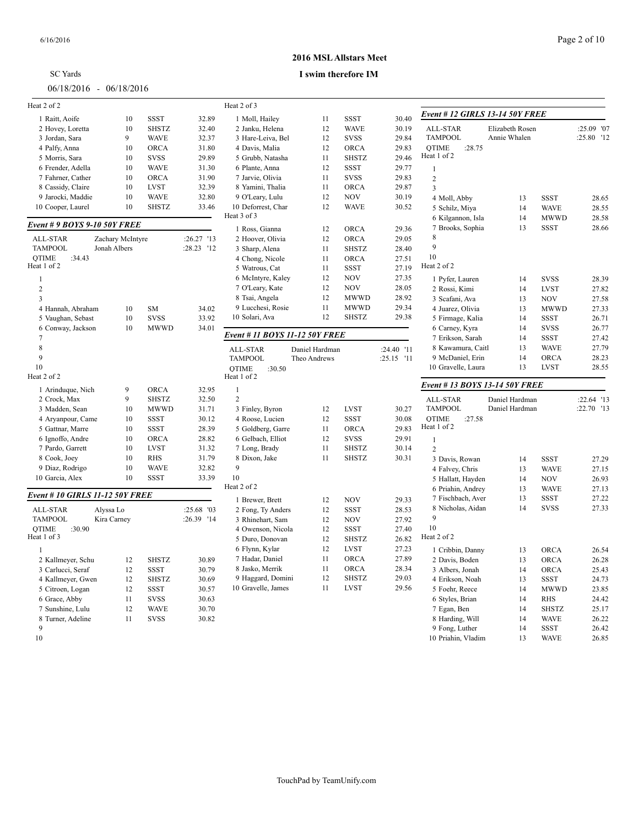| SC Yards                  |  |  |  |
|---------------------------|--|--|--|
| $06/18/2016 - 06/18/2016$ |  |  |  |

### **2016 MSL Allstars Meet**

| Heat 2 of 2                     |                  |              |            | Heat 2 of 3                        |                |                            |                |                                 |                 |              |            |
|---------------------------------|------------------|--------------|------------|------------------------------------|----------------|----------------------------|----------------|---------------------------------|-----------------|--------------|------------|
| 1 Raitt, Aoife                  | 10               | <b>SSST</b>  | 32.89      | 1 Moll, Hailey                     | 11             | <b>SSST</b>                | 30.40          | Event # 12 GIRLS 13-14 50Y FREE |                 |              |            |
| 2 Hovey, Loretta                | 10               | <b>SHSTZ</b> | 32.40      | 2 Janku, Helena                    | 12             | <b>WAVE</b>                | 30.19          | ALL-STAR                        | Elizabeth Rosen |              | :25.09 '07 |
| 3 Jordan, Sara                  | 9                | <b>WAVE</b>  | 32.37      | 3 Hare-Leiva, Bel                  | 12             | <b>SVSS</b>                | 29.84          | <b>TAMPOOL</b>                  | Annie Whalen    |              | :25.80 '12 |
| 4 Palfy, Anna                   | 10               | <b>ORCA</b>  | 31.80      | 4 Davis, Malia                     | 12             | <b>ORCA</b>                | 29.83          | <b>OTIME</b><br>:28.75          |                 |              |            |
| 5 Morris, Sara                  | 10               | <b>SVSS</b>  | 29.89      | 5 Grubb, Natasha                   | 11             | <b>SHSTZ</b>               | 29.46          | Heat 1 of 2                     |                 |              |            |
| 6 Frender, Adella               | 10               | <b>WAVE</b>  | 31.30      | 6 Plante, Anna                     | 12             | <b>SSST</b>                | 29.77          | $\mathbf{1}$                    |                 |              |            |
| 7 Fahrner, Cather               | 10               | <b>ORCA</b>  | 31.90      | 7 Jarvie, Olivia                   | 11             | <b>SVSS</b>                | 29.83          | $\sqrt{2}$                      |                 |              |            |
| 8 Cassidy, Claire               | 10               | <b>LVST</b>  | 32.39      | 8 Yamini, Thalia                   | 11             | <b>ORCA</b>                | 29.87          | 3                               |                 |              |            |
| 9 Jarocki, Maddie               | 10               | <b>WAVE</b>  | 32.80      | 9 O'Leary, Lulu                    | 12             | <b>NOV</b>                 | 30.19          | 4 Moll, Abby                    | 13              | <b>SSST</b>  | 28.65      |
| 10 Cooper, Laurel               | 10               | <b>SHSTZ</b> | 33.46      | 10 Deforrest, Char                 | 12             | <b>WAVE</b>                | 30.52          | 5 Schilz, Miya                  | 14              | <b>WAVE</b>  | 28.55      |
|                                 |                  |              |            | Heat 3 of 3                        |                |                            |                | 6 Kilgannon, Isla               | 14              | <b>MWWD</b>  | 28.58      |
| Event # 9 BOYS 9-10 50Y FREE    |                  |              |            | 1 Ross, Gianna                     | 12             | <b>ORCA</b>                | 29.36          | 7 Brooks, Sophia                | 13              | <b>SSST</b>  | 28.66      |
| ALL-STAR                        | Zachary McIntyre |              | :26.27 '13 | 2 Hoover, Olivia                   | 12             | <b>ORCA</b>                | 29.05          | 8                               |                 |              |            |
| <b>TAMPOOL</b>                  | Jonah Albers     |              | :28.23 '12 | 3 Sharp, Alena                     | 11             | <b>SHSTZ</b>               | 28.40          | 9                               |                 |              |            |
| <b>OTIME</b><br>:34.43          |                  |              |            | 4 Chong, Nicole                    | 11             | <b>ORCA</b>                | 27.51          | 10                              |                 |              |            |
| Heat 1 of 2                     |                  |              |            | 5 Watrous, Cat                     | 11             | <b>SSST</b>                | 27.19          | Heat 2 of 2                     |                 |              |            |
| $\mathbf{1}$                    |                  |              |            | 6 McIntyre, Kaley                  | 12             | <b>NOV</b>                 | 27.35          | 1 Pyfer, Lauren                 | 14              | <b>SVSS</b>  | 28.39      |
| $\overline{2}$                  |                  |              |            | 7 O'Leary, Kate                    | 12             | <b>NOV</b>                 | 28.05          | 2 Rossi, Kimi                   | 14              | <b>LVST</b>  | 27.82      |
| $\overline{3}$                  |                  |              |            | 8 Tsai, Angela                     | 12             | <b>MWWD</b>                | 28.92          | 3 Scafani, Ava                  | 13              | <b>NOV</b>   | 27.58      |
| 4 Hannah, Abraham               | 10               | <b>SM</b>    | 34.02      | 9 Lucchesi, Rosie                  | 11             | <b>MWWD</b>                | 29.34          | 4 Juarez, Olivia                | 13              | <b>MWWD</b>  | 27.33      |
| 5 Vaughan, Sebast               | 10               | <b>SVSS</b>  | 33.92      | 10 Solari, Ava                     | 12             | <b>SHSTZ</b>               | 29.38          | 5 Firmage, Kalia                | 14              | <b>SSST</b>  | 26.71      |
| 6 Conway, Jackson               | 10               | <b>MWWD</b>  | 34.01      |                                    |                |                            |                | 6 Carney, Kyra                  | 14              | <b>SVSS</b>  | 26.77      |
| $\overline{7}$                  |                  |              |            | Event # 11 BOYS 11-12 50Y FREE     |                |                            |                | 7 Erikson, Sarah                | 14              | <b>SSST</b>  | 27.42      |
| 8                               |                  |              |            |                                    | Daniel Hardman |                            | :24.40 '11     | 8 Kawamura, Caitl               | 13              | <b>WAVE</b>  | 27.79      |
| 9                               |                  |              |            | <b>ALL-STAR</b><br><b>TAMPOOL</b>  | Theo Andrews   |                            | :25.15 '11     | 9 McDaniel, Erin                | 14              | <b>ORCA</b>  | 28.23      |
| 10                              |                  |              |            | :30.50<br><b>QTIME</b>             |                |                            |                | 10 Gravelle, Laura              | 13              | <b>LVST</b>  | 28.55      |
| Heat 2 of 2                     |                  |              |            | Heat 1 of 2                        |                |                            |                |                                 |                 |              |            |
| 1 Arinduque, Nich               | 9                | <b>ORCA</b>  | 32.95      | 1                                  |                |                            |                | Event # 13 BOYS 13-14 50Y FREE  |                 |              |            |
| 2 Crock, Max                    | 9                | <b>SHSTZ</b> | 32.50      | $\overline{2}$                     |                |                            |                | ALL-STAR                        | Daniel Hardman  |              | :22.64 '13 |
| 3 Madden, Sean                  | 10               | <b>MWWD</b>  | 31.71      | 3 Finley, Byron                    | 12             | <b>LVST</b>                | 30.27          | <b>TAMPOOL</b>                  | Daniel Hardman  |              | :22.70 '13 |
| 4 Aryanpour, Came               | 10               | <b>SSST</b>  | 30.12      | 4 Roose, Lucien                    | 12             | <b>SSST</b>                | 30.08          | <b>OTIME</b><br>:27.58          |                 |              |            |
| 5 Gattnar, Marre                | 10               | <b>SSST</b>  | 28.39      | 5 Goldberg, Garre                  | 11             | <b>ORCA</b>                | 29.83          | Heat 1 of 2                     |                 |              |            |
| 6 Ignoffo, Andre                | 10               | <b>ORCA</b>  | 28.82      | 6 Gelbach, Elliot                  | 12             | <b>SVSS</b>                | 29.91          | $\mathbf{1}$                    |                 |              |            |
| 7 Pardo, Garrett                | 10               | <b>LVST</b>  | 31.32      | 7 Long, Brady                      | 11             | <b>SHSTZ</b>               | 30.14          | $\overline{2}$                  |                 |              |            |
| 8 Cook, Joey                    | 10               | <b>RHS</b>   | 31.79      | 8 Dixon, Jake                      | 11             | <b>SHSTZ</b>               | 30.31          | 3 Davis, Rowan                  | 14              | SSST         | 27.29      |
| 9 Diaz, Rodrigo                 | 10               | <b>WAVE</b>  | 32.82      | 9                                  |                |                            |                | 4 Falvey, Chris                 | 13              | <b>WAVE</b>  | 27.15      |
| 10 Garcia, Alex                 | 10               | <b>SSST</b>  | 33.39      | 10                                 |                |                            |                | 5 Hallatt, Hayden               | 14              | <b>NOV</b>   | 26.93      |
|                                 |                  |              |            | Heat 2 of 2                        |                |                            |                | 6 Priahin, Andrey               | 13              | <b>WAVE</b>  | 27.13      |
| Event # 10 GIRLS 11-12 50Y FREE |                  |              |            | 1 Brewer, Brett                    | 12             | <b>NOV</b>                 | 29.33          | 7 Fischbach, Aver               | 13              | <b>SSST</b>  | 27.22      |
| ALL-STAR                        | Alyssa Lo        |              | :25.68 '03 | 2 Fong, Ty Anders                  | 12             | <b>SSST</b>                | 28.53          | 8 Nicholas, Aidan               | 14              | <b>SVSS</b>  | 27.33      |
| <b>TAMPOOL</b>                  | Kira Carney      |              | :26.39 '14 | 3 Rhinehart, Sam                   | 12             | <b>NOV</b>                 | 27.92          | 9                               |                 |              |            |
| :30.90<br><b>OTIME</b>          |                  |              |            | 4 Owenson, Nicola                  | 12             | <b>SSST</b>                | 27.40          | 10                              |                 |              |            |
| Heat 1 of 3                     |                  |              |            |                                    |                | <b>SHSTZ</b>               | 26.82          | Heat 2 of 2                     |                 |              |            |
|                                 |                  |              |            | 5 Duro, Donovan<br>6 Flynn, Kylar  | 12<br>12       | <b>LVST</b>                | 27.23          |                                 |                 |              |            |
| $\overline{1}$                  |                  |              |            |                                    | 11             |                            |                | 1 Cribbin, Danny                | 13              | <b>ORCA</b>  | 26.54      |
| 2 Kallmeyer, Schu               | 12               | <b>SHSTZ</b> | 30.89      | 7 Hadar, Daniel<br>8 Jasko, Merrik | 11             | <b>ORCA</b><br><b>ORCA</b> | 27.89<br>28.34 | 2 Davis, Boden                  | 13              | <b>ORCA</b>  | 26.28      |
| 3 Carlucci, Seraf               | 12               | <b>SSST</b>  | 30.79      |                                    |                |                            |                | 3 Albers, Jonah                 | 14              | ORCA         | 25.43      |
| 4 Kallmeyer, Gwen               | 12               | <b>SHSTZ</b> | 30.69      | 9 Haggard, Domini                  | 12             | <b>SHSTZ</b>               | 29.03          | 4 Erikson, Noah                 | 13              | <b>SSST</b>  | 24.73      |
| 5 Citroen, Logan                | 12               | <b>SSST</b>  | 30.57      | 10 Gravelle, James                 | $11\,$         | <b>LVST</b>                | 29.56          | 5 Foehr, Reece                  | 14              | <b>MWWD</b>  | 23.85      |
| 6 Grace, Abby                   | 11               | <b>SVSS</b>  | 30.63      |                                    |                |                            |                | 6 Styles, Brian                 | 14              | <b>RHS</b>   | 24.42      |
| 7 Sunshine, Lulu                | 12               | <b>WAVE</b>  | 30.70      |                                    |                |                            |                | 7 Egan, Ben                     | 14              | <b>SHSTZ</b> | 25.17      |
| 8 Turner, Adeline               | 11               | <b>SVSS</b>  | 30.82      |                                    |                |                            |                | 8 Harding, Will                 | 14              | <b>WAVE</b>  | 26.22      |
| 9                               |                  |              |            |                                    |                |                            |                | 9 Fong, Luther                  | 14              | <b>SSST</b>  | 26.42      |
| 10                              |                  |              |            |                                    |                |                            |                | 10 Priahin, Vladim              | 13              | <b>WAVE</b>  | 26.85      |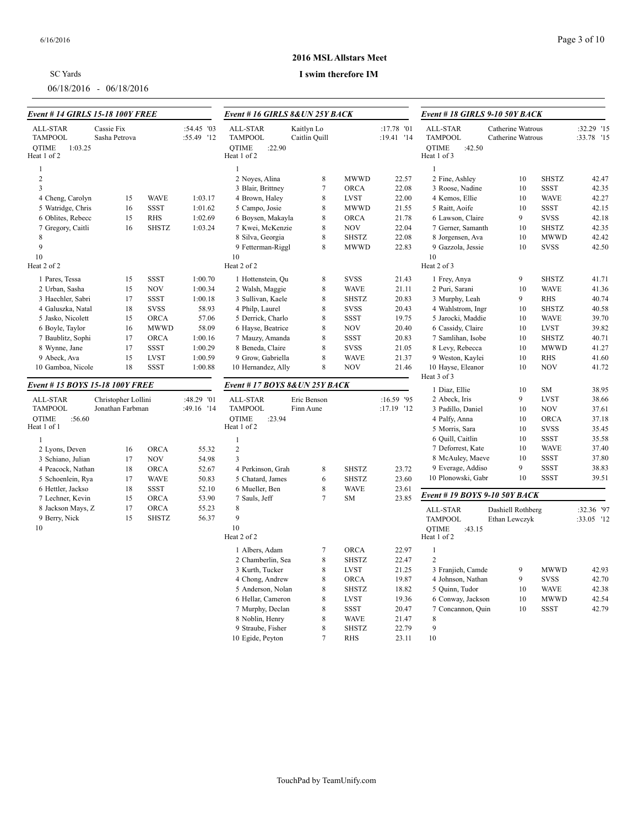| <b>SC</b> Yards |  |  |
|-----------------|--|--|
|                 |  |  |

06/18/2016 - 06/18/2016

### **2016 MSL Allstars Meet**

| <b>Event # 14 GIRLS 15-18 100Y FREE</b>                       |                                         |                    |                          | Event # 16 GIRLS 8& UN 25Y BACK                                                                                                                                                                                                                 |                          |                          |                            | Event # 18 GIRLS 9-10 50Y BACK  |                   |                            |                |
|---------------------------------------------------------------|-----------------------------------------|--------------------|--------------------------|-------------------------------------------------------------------------------------------------------------------------------------------------------------------------------------------------------------------------------------------------|--------------------------|--------------------------|----------------------------|---------------------------------|-------------------|----------------------------|----------------|
| ALL-STAR<br><b>TAMPOOL</b><br>OTIME<br>1:03.25<br>Heat 1 of 2 | Cassie Fix<br>Sasha Petrova             |                    | :54.45 '03<br>:55.49 '12 | :17.78 '01<br>ALL-STAR<br>Kaitlyn Lo<br>ALL-STAR<br>Catherine Watrous<br><b>TAMPOOL</b><br><b>TAMPOOL</b><br>Caitlin Quill<br>:19.41 '14<br>Catherine Watrous<br><b>OTIME</b><br>:22.90<br><b>OTIME</b><br>:42.50<br>Heat 1 of 2<br>Heat 1 of 3 |                          | :32.29 '15<br>:33.78 '15 |                            |                                 |                   |                            |                |
| -1<br>$\sqrt{2}$                                              |                                         |                    |                          | $\mathbf{1}$<br>2 Noyes, Alina                                                                                                                                                                                                                  | 8                        | <b>MWWD</b>              | 22.57                      | $\mathbf{1}$<br>2 Fine, Ashley  | 10                | <b>SHSTZ</b>               | 42.47          |
| $\overline{\mathbf{3}}$                                       |                                         |                    |                          | 3 Blair, Brittney                                                                                                                                                                                                                               | $\overline{7}$           | <b>ORCA</b>              | 22.08                      | 3 Roose, Nadine                 | 10                | <b>SSST</b>                | 42.35          |
| 4 Cheng, Carolyn                                              |                                         | <b>WAVE</b>        | 1:03.17                  | 4 Brown, Haley                                                                                                                                                                                                                                  | 8                        | <b>LVST</b>              | 22.00                      | 4 Kemos, Ellie                  | 10                | <b>WAVE</b>                | 42.27          |
| 5 Watridge, Chris                                             | 15<br>16                                | <b>SSST</b>        | 1:01.62                  | 5 Campo, Josie                                                                                                                                                                                                                                  | 8                        | <b>MWWD</b>              | 21.55                      | 5 Raitt, Aoife                  | 10                | <b>SSST</b>                | 42.15          |
| 6 Oblites, Rebecc                                             | 15                                      | RHS                | 1:02.69                  | 6 Boysen, Makayla                                                                                                                                                                                                                               | 8                        | <b>ORCA</b>              | 21.78                      | 6 Lawson, Claire                | 9                 | <b>SVSS</b>                | 42.18          |
| 7 Gregory, Caitli                                             | 16                                      | <b>SHSTZ</b>       | 1:03.24                  | 7 Kwei, McKenzie                                                                                                                                                                                                                                | 8                        | <b>NOV</b>               | 22.04                      | 7 Gerner, Samanth               | 10                | <b>SHSTZ</b>               | 42.35          |
| 8                                                             |                                         |                    |                          | 8 Silva, Georgia                                                                                                                                                                                                                                | 8                        | <b>SHSTZ</b>             | 22.08                      | 8 Jorgensen, Ava                | 10                | <b>MWWD</b>                | 42.42          |
| $\mathbf{Q}$                                                  |                                         |                    |                          | 9 Fetterman-Riggl                                                                                                                                                                                                                               | 8                        | <b>MWWD</b>              | 22.83                      | 9 Gazzola, Jessie               | 10                | <b>SVSS</b>                | 42.50          |
| 10                                                            |                                         |                    |                          | 10                                                                                                                                                                                                                                              |                          |                          |                            | 10                              |                   |                            |                |
| Heat 2 of 2                                                   |                                         |                    |                          | Heat 2 of 2                                                                                                                                                                                                                                     |                          |                          |                            | Heat 2 of 3                     |                   |                            |                |
| 1 Pares, Tessa                                                | 15                                      | <b>SSST</b>        | 1:00.70                  | 1 Hottenstein, Qu                                                                                                                                                                                                                               | 8                        | <b>SVSS</b>              | 21.43                      | 1 Frey, Anya                    | 9                 | <b>SHSTZ</b>               | 41.71          |
| 2 Urban, Sasha                                                | 15                                      | <b>NOV</b>         | 1:00.34                  | 2 Walsh, Maggie                                                                                                                                                                                                                                 | 8                        | <b>WAVE</b>              | 21.11                      | 2 Puri, Sarani                  | 10                | <b>WAVE</b>                | 41.36          |
| 3 Haechler, Sabri                                             | 17                                      | <b>SSST</b>        | 1:00.18                  | 3 Sullivan, Kaele                                                                                                                                                                                                                               | 8                        | <b>SHSTZ</b>             | 20.83                      | 3 Murphy, Leah                  | 9                 | <b>RHS</b>                 | 40.74          |
| 4 Galuszka, Natal                                             | 18                                      | <b>SVSS</b>        | 58.93                    | 4 Philp, Laurel                                                                                                                                                                                                                                 | 8                        | <b>SVSS</b>              | 20.43                      | 4 Wahlstrom, Ingr               | 10                | <b>SHSTZ</b>               | 40.58          |
| 5 Jasko, Nicolett                                             | 15                                      | <b>ORCA</b>        | 57.06                    | 5 Derrick, Charlo                                                                                                                                                                                                                               | 8                        | SSST                     | 19.75                      | 5 Jarocki, Maddie               | 10                | <b>WAVE</b>                | 39.70          |
| 6 Boyle, Taylor                                               | 16                                      | <b>MWWD</b>        | 58.09                    | 6 Hayse, Beatrice                                                                                                                                                                                                                               | 8                        | <b>NOV</b>               | 20.40                      | 6 Cassidy, Claire               | 10                | <b>LVST</b>                | 39.82          |
| 7 Baublitz, Sophi                                             | 17                                      | ORCA               | 1:00.16                  | 7 Mauzy, Amanda                                                                                                                                                                                                                                 | 8                        | SSST                     | 20.83                      | 7 Samlihan, Isobe               | 10                | <b>SHSTZ</b>               | 40.71          |
| 8 Wynne, Jane                                                 | 17                                      | <b>SSST</b>        | 1:00.29                  | 8 Beneda, Claire                                                                                                                                                                                                                                | 8                        | <b>SVSS</b>              | 21.05                      | 8 Levy, Rebecca                 | 10                | <b>MWWD</b>                | 41.27          |
| 9 Abeck, Ava                                                  | 15                                      | <b>LVST</b>        | 1:00.59                  | 9 Grow, Gabriella                                                                                                                                                                                                                               | 8                        | <b>WAVE</b>              | 21.37                      | 9 Weston, Kaylei                | 10                | <b>RHS</b>                 | 41.60          |
| 10 Gamboa, Nicole                                             | 18                                      | <b>SSST</b>        | 1:00.88                  | 10 Hernandez, Ally                                                                                                                                                                                                                              | 8                        | <b>NOV</b>               | 21.46                      | 10 Hayse, Eleanor               | 10                | <b>NOV</b>                 | 41.72          |
| Event # 15 BOYS 15-18 100Y FREE                               |                                         |                    |                          | Event #17 BOYS 8& UN 25Y BACK                                                                                                                                                                                                                   |                          |                          |                            | Heat 3 of 3                     |                   |                            |                |
|                                                               |                                         |                    |                          |                                                                                                                                                                                                                                                 |                          |                          |                            | 1 Diaz, Ellie                   | 10                | SM                         | 38.95          |
| ALL-STAR<br><b>TAMPOOL</b>                                    | Christopher Lollini<br>Jonathan Farbman |                    | :48.29 '01<br>:49.16 '14 | ALL-STAR<br><b>TAMPOOL</b>                                                                                                                                                                                                                      | Eric Benson<br>Finn Aune |                          | $:16.59$ '95<br>:17.19 '12 | 2 Abeck, Iris                   | 9                 | <b>LVST</b>                | 38.66          |
| <b>OTIME</b><br>:56.60                                        |                                         |                    |                          | <b>OTIME</b><br>:23.94                                                                                                                                                                                                                          |                          |                          |                            | 3 Padillo, Daniel               | 10<br>10          | <b>NOV</b>                 | 37.61          |
| Heat 1 of 1                                                   |                                         |                    |                          | Heat 1 of 2                                                                                                                                                                                                                                     |                          |                          |                            | 4 Palfy, Anna<br>5 Morris, Sara | 10                | <b>ORCA</b><br><b>SVSS</b> | 37.18<br>35.45 |
|                                                               |                                         |                    |                          |                                                                                                                                                                                                                                                 |                          |                          |                            | 6 Quill, Caitlin                | 10                | <b>SSST</b>                | 35.58          |
| 1                                                             |                                         |                    |                          | 1                                                                                                                                                                                                                                               |                          |                          |                            | 7 Deforrest, Kate               | 10                | <b>WAVE</b>                | 37.40          |
| 2 Lyons, Deven<br>3 Schiano, Julian                           | 16<br>17                                | ORCA<br><b>NOV</b> | 55.32<br>54.98           | $\overline{2}$<br>$\overline{3}$                                                                                                                                                                                                                |                          |                          |                            | 8 McAuley, Maeve                | 10                | <b>SSST</b>                | 37.80          |
| 4 Peacock, Nathan                                             | 18                                      | ORCA               | 52.67                    | 4 Perkinson, Grah                                                                                                                                                                                                                               | 8                        | <b>SHSTZ</b>             | 23.72                      | 9 Everage, Addiso               | 9                 | <b>SSST</b>                | 38.83          |
| 5 Schoenlein, Rya                                             | 17                                      | <b>WAVE</b>        | 50.83                    | 5 Chatard, James                                                                                                                                                                                                                                | 6                        | <b>SHSTZ</b>             | 23.60                      | 10 Plonowski, Gabr              | 10                | <b>SSST</b>                | 39.51          |
| 6 Hettler, Jackso                                             | 18                                      | <b>SSST</b>        | 52.10                    | 6 Mueller, Ben                                                                                                                                                                                                                                  | 8                        | <b>WAVE</b>              | 23.61                      |                                 |                   |                            |                |
| 7 Lechner, Kevin                                              | 15                                      | <b>ORCA</b>        | 53.90                    | 7 Sauls, Jeff                                                                                                                                                                                                                                   | $\overline{7}$           | <b>SM</b>                | 23.85                      | Event # 19 BOYS 9-10 50Y BACK   |                   |                            |                |
| 8 Jackson Mays, Z                                             | 17                                      | <b>ORCA</b>        | 55.23                    | 8                                                                                                                                                                                                                                               |                          |                          |                            | ALL-STAR                        | Dashiell Rothberg |                            | :32.36 '97     |
| 9 Berry, Nick                                                 | 15                                      | <b>SHSTZ</b>       | 56.37                    | 9                                                                                                                                                                                                                                               |                          |                          |                            | <b>TAMPOOL</b>                  | Ethan Lewczyk     |                            | :33.05 '12     |
| 10                                                            |                                         |                    |                          | 10                                                                                                                                                                                                                                              |                          |                          |                            | <b>QTIME</b><br>:43.15          |                   |                            |                |
|                                                               |                                         |                    |                          | Heat 2 of 2                                                                                                                                                                                                                                     |                          |                          |                            | Heat 1 of 2                     |                   |                            |                |
|                                                               |                                         |                    |                          | 1 Albers, Adam                                                                                                                                                                                                                                  | 7                        | <b>ORCA</b>              | 22.97                      | $\overline{1}$                  |                   |                            |                |
|                                                               |                                         |                    |                          | 2 Chamberlin, Sea                                                                                                                                                                                                                               | 8                        | <b>SHSTZ</b>             | 22.47                      | 2                               |                   |                            |                |
|                                                               |                                         |                    |                          | 3 Kurth, Tucker                                                                                                                                                                                                                                 | 8                        | LVST                     | 21.25                      | 3 Franjieh, Camde               | 9                 | <b>MWWD</b>                | 42.93          |
|                                                               |                                         |                    |                          | 4 Chong, Andrew                                                                                                                                                                                                                                 | 8                        | <b>ORCA</b>              | 19.87                      | 4 Johnson, Nathan               | 9                 | <b>SVSS</b>                | 42.70          |
|                                                               |                                         |                    |                          | 5 Anderson, Nolan                                                                                                                                                                                                                               | 8                        | <b>SHSTZ</b>             | 18.82                      | 5 Quinn, Tudor                  | 10                | <b>WAVE</b>                | 42.38          |
|                                                               |                                         |                    |                          | 6 Hellar, Cameron                                                                                                                                                                                                                               | 8                        | <b>LVST</b>              | 19.36                      | 6 Conway, Jackson               | 10                | <b>MWWD</b>                | 42.54          |
|                                                               |                                         |                    |                          | 7 Murphy, Declan                                                                                                                                                                                                                                | 8                        | SSST                     | 20.47                      | 7 Concannon, Quin               | 10                | <b>SSST</b>                | 42.79          |
|                                                               |                                         |                    |                          | 8 Noblin, Henry                                                                                                                                                                                                                                 | 8                        | <b>WAVE</b>              | 21.47                      | 8                               |                   |                            |                |
|                                                               |                                         |                    |                          | 9 Straube, Fisher                                                                                                                                                                                                                               | 8                        | <b>SHSTZ</b>             | 22.79                      | 9                               |                   |                            |                |
|                                                               |                                         |                    |                          | 10 Egide, Peyton                                                                                                                                                                                                                                | $\overline{7}$           | <b>RHS</b>               | 23.11                      | 10                              |                   |                            |                |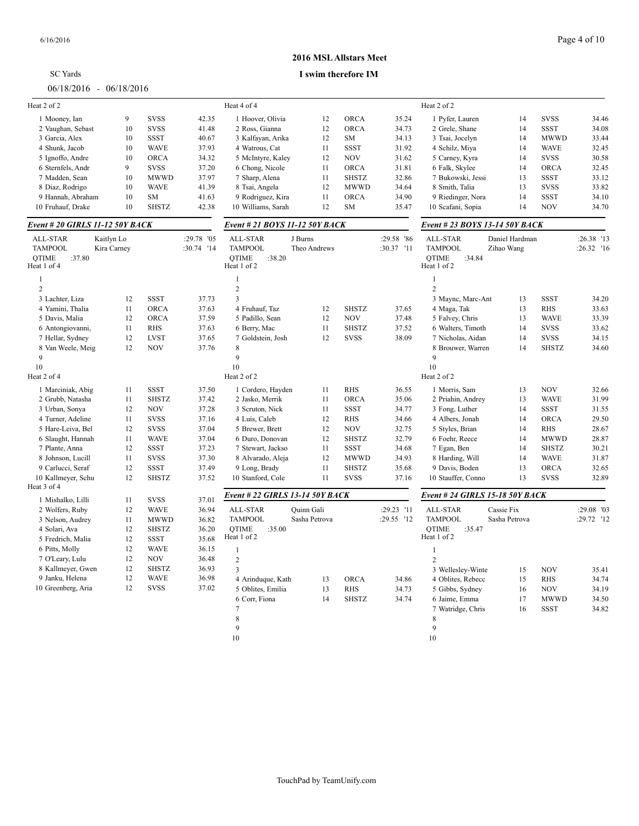|                                          |             |              |            |                                           |                     | ічіэlі Апман у Ічіссі |            |                                          |                |              |            |
|------------------------------------------|-------------|--------------|------------|-------------------------------------------|---------------------|-----------------------|------------|------------------------------------------|----------------|--------------|------------|
| <b>SC</b> Yards                          |             |              |            |                                           | I swim therefore IM |                       |            |                                          |                |              |            |
| $06/18/2016 - 06/18/2016$                |             |              |            |                                           |                     |                       |            |                                          |                |              |            |
| Heat 2 of 2                              |             |              |            | Heat 4 of 4                               |                     |                       |            | Heat 2 of 2                              |                |              |            |
| 1 Mooney, Ian                            | 9           | <b>SVSS</b>  | 42.35      | 1 Hoover, Olivia                          | 12                  | <b>ORCA</b>           | 35.24      | 1 Pyfer, Lauren                          | 14             | <b>SVSS</b>  | 34.46      |
| 2 Vaughan, Sebast                        | 10          | <b>SVSS</b>  | 41.48      | 2 Ross, Gianna                            | 12                  | <b>ORCA</b>           | 34.73      | 2 Grele, Shane                           | 14             | <b>SSST</b>  | 34.08      |
| 3 Garcia, Alex                           | 10          | <b>SSST</b>  | 40.67      | 3 Kalfayan, Arika                         | 12                  | <b>SM</b>             | 34.13      | 3 Tsai, Jocelyn                          | 14             | <b>MWWD</b>  | 33.44      |
| 4 Shunk, Jacob                           | 10          | <b>WAVE</b>  | 37.93      | 4 Watrous, Cat                            | 11                  | <b>SSST</b>           | 31.92      | 4 Schilz, Miya                           | 14             | <b>WAVE</b>  | 32.45      |
| 5 Ignoffo, Andre                         | 10          | <b>ORCA</b>  | 34.32      | 5 McIntyre, Kaley                         | 12                  | <b>NOV</b>            | 31.62      | 5 Carney, Kyra                           | 14             | <b>SVSS</b>  | 30.58      |
| 6 Sternfels, Andr                        | 9           | <b>SVSS</b>  | 37.20      | 6 Chong, Nicole                           | 11                  | <b>ORCA</b>           | 31.81      | 6 Falk, Skylee                           | 14             | <b>ORCA</b>  | 32.45      |
| 7 Madden, Sean                           | 10          | <b>MWWD</b>  | 37.97      | 7 Sharp, Alena                            | 11                  | <b>SHSTZ</b>          | 32.86      | 7 Bukowski, Jessi                        | 13             | <b>SSST</b>  | 33.12      |
| 8 Diaz, Rodrigo                          | 10          | <b>WAVE</b>  | 41.39      | 8 Tsai, Angela                            | 12                  | <b>MWWD</b>           | 34.64      | 8 Smith, Talia                           | 13             | <b>SVSS</b>  | 33.82      |
| 9 Hannah, Abraham                        | 10          | <b>SM</b>    | 41.63      | 9 Rodriguez, Kira                         | 11                  | <b>ORCA</b>           | 34.90      | 9 Riedinger, Nora                        | 14             | <b>SSST</b>  | 34.10      |
| 10 Fruhauf, Drake                        | 10          | <b>SHSTZ</b> | 42.38      | 10 Williams, Sarah                        | 12                  | <b>SM</b>             | 35.47      | 10 Scafani, Sopia                        | 14             | <b>NOV</b>   | 34.70      |
| Event # 20 GIRLS 11-12 50Y BACK          |             |              |            | Event # 21 BOYS 11-12 50Y BACK            |                     |                       |            | Event # 23 BOYS 13-14 50Y BACK           |                |              |            |
| ALL-STAR                                 | Kaitlyn Lo  |              | :29.78 '05 | ALL-STAR                                  | J Burns             |                       | :29.58 '86 | ALL-STAR                                 | Daniel Hardman |              | :26.38 '13 |
| <b>TAMPOOL</b><br><b>OTIME</b><br>:37.80 | Kira Carney |              | :30.74 '14 | <b>TAMPOOL</b><br><b>OTIME</b><br>:38.20  | Theo Andrews        |                       | :30.37 '11 | <b>TAMPOOL</b><br><b>OTIME</b><br>:34.84 | Zihao Wang     |              | :26.32 '16 |
| Heat 1 of 4                              |             |              |            | Heat 1 of 2                               |                     |                       |            | Heat 1 of 2                              |                |              |            |
| 1                                        |             |              |            | -1                                        |                     |                       |            | $\mathbf{1}$                             |                |              |            |
| $\overline{2}$                           |             |              |            | $\overline{2}$<br>$\overline{\mathbf{3}}$ |                     |                       |            | $\overline{2}$                           |                |              |            |
| 3 Lachter, Liza                          | 12          | <b>SSST</b>  | 37.73      |                                           |                     |                       |            | 3 Maync, Marc-Ant                        | 13             | <b>SSST</b>  | 34.20      |
| 4 Yamini, Thalia                         | 11          | ORCA         | 37.63      | 4 Fruhauf, Taz<br>5 Padillo, Sean         | 12                  | <b>SHSTZ</b>          | 37.65      | 4 Maga, Tak                              | 13             | <b>RHS</b>   | 33.63      |
| 5 Davis, Malia                           | 12          | <b>ORCA</b>  | 37.59      |                                           | 12                  | <b>NOV</b>            | 37.48      | 5 Falvey, Chris                          | 13             | <b>WAVE</b>  | 33.39      |
| 6 Antongiovanni,                         | 11          | <b>RHS</b>   | 37.63      | 6 Berry, Mac                              | 11                  | <b>SHSTZ</b>          | 37.52      | 6 Walters, Timoth                        | 14             | <b>SVSS</b>  | 33.62      |
| 7 Hellar, Sydney                         | 12          | <b>LVST</b>  | 37.65      | 7 Goldstein, Josh                         | 12                  | <b>SVSS</b>           | 38.09      | 7 Nicholas, Aidan                        | 14             | <b>SVSS</b>  | 34.15      |
| 8 Van Weele, Meig                        | 12          | <b>NOV</b>   | 37.76      | 8<br>9                                    |                     |                       |            | 8 Brouwer, Warren                        | 14             | <b>SHSTZ</b> | 34.60      |
| 9                                        |             |              |            |                                           |                     |                       |            | 9                                        |                |              |            |
| 10<br>Heat 2 of 4                        |             |              |            | 10<br>Heat 2 of 2                         |                     |                       |            | 10<br>Heat 2 of 2                        |                |              |            |
| 1 Marciniak, Abig                        | 11          | <b>SSST</b>  | 37.50      | 1 Cordero, Hayden                         | 11                  | <b>RHS</b>            | 36.55      | 1 Morris, Sam                            | 13             | <b>NOV</b>   | 32.66      |
| 2 Grubb, Natasha                         | 11          | <b>SHSTZ</b> | 37.42      | 2 Jasko, Merrik                           | 11                  | <b>ORCA</b>           | 35.06      | 2 Priahin, Andrey                        | 13             | <b>WAVE</b>  | 31.99      |
| 3 Urban, Sonya                           | 12          | <b>NOV</b>   | 37.28      | 3 Scruton, Nick                           | 11                  | SSST                  | 34.77      | 3 Fong, Luther                           | 14             | <b>SSST</b>  | 31.55      |
| 4 Turner, Adeline                        | 11          | <b>SVSS</b>  | 37.16      | 4 Luis, Caleb                             | 12                  | <b>RHS</b>            | 34.66      | 4 Albers, Jonah                          | 14             | <b>ORCA</b>  | 29.50      |
| 5 Hare-Leiva, Bel                        | 12          | <b>SVSS</b>  | 37.04      | 5 Brewer, Brett                           | 12                  | <b>NOV</b>            | 32.75      | 5 Styles, Brian                          | 14             | <b>RHS</b>   | 28.67      |
| 6 Slaught, Hannah                        | 11          | <b>WAVE</b>  | 37.04      | 6 Duro, Donovan                           | 12                  | <b>SHSTZ</b>          | 32.79      | 6 Foehr, Reece                           | 14             | <b>MWWD</b>  | 28.87      |
| 7 Plante, Anna                           | 12          | <b>SSST</b>  | 37.23      | 7 Stewart, Jackso                         | 11                  | SSST                  | 34.68      | 7 Egan, Ben                              | 14             | <b>SHSTZ</b> | 30.21      |
| 8 Johnson, Lucill                        | 11          | <b>SVSS</b>  | 37.30      | 8 Alvarado, Aleja                         | 12                  | <b>MWWD</b>           | 34.93      | 8 Harding, Will                          | 14             | <b>WAVE</b>  | 31.87      |
| 9 Carlucci, Seraf                        | 12          | <b>SSST</b>  | 37.49      | 9 Long, Brady                             | 11                  | <b>SHSTZ</b>          | 35.68      | 9 Davis, Boden                           | 13             | <b>ORCA</b>  | 32.65      |
| 10 Kallmeyer, Schu                       | 12          | <b>SHSTZ</b> | 37.52      | 10 Stanford, Cole                         | 11                  | <b>SVSS</b>           | 37.16      | 10 Stauffer, Conno                       | 13             | <b>SVSS</b>  | 32.89      |
| Heat 3 of 4                              |             |              |            |                                           |                     |                       |            |                                          |                |              |            |
| 1 Mishalko, Lilli                        | 11          | <b>SVSS</b>  | 37.01      | Event # 22 GIRLS 13-14 50Y BACK           |                     |                       |            | Event # 24 GIRLS 15-18 50Y BACK          |                |              |            |
| 2 Wolfers, Ruby                          | 12          | <b>WAVE</b>  | 36.94      | ALL-STAR                                  | Quinn Gali          |                       | :29.23 '11 | ALL-STAR                                 | Cassie Fix     |              | :29.08 '03 |
| 3 Nelson, Audrey                         | 11          | <b>MWWD</b>  | 36.82      | <b>TAMPOOL</b>                            | Sasha Petrova       |                       | :29.55 '12 | <b>TAMPOOL</b>                           | Sasha Petrova  |              | :29.72 '12 |
| 4 Solari, Ava                            | 12          | <b>SHSTZ</b> | 36.20      | <b>QTIME</b><br>:35.00                    |                     |                       |            | <b>QTIME</b><br>:35.47                   |                |              |            |
| 5 Fredrich, Malia                        | 12          | SSST         | 35.68      | Heat 1 of 2                               |                     |                       |            | Heat 1 of 2                              |                |              |            |
| 6 Pitts, Molly                           | 12          | <b>WAVE</b>  | 36.15      | $\mathbf{1}$                              |                     |                       |            | $\mathbf{1}$                             |                |              |            |
| 7 O'Leary, Lulu                          | 12          | <b>NOV</b>   | 36.48      | $\overline{2}$                            |                     |                       |            | $\overline{2}$                           |                |              |            |
| 8 Kallmeyer, Gwen                        | 12          | <b>SHSTZ</b> | 36.93      | $\overline{3}$                            |                     |                       |            | 3 Wellesley-Winte                        | 15             | <b>NOV</b>   | 35.41      |
| 9 Janku, Helena                          | 12          | <b>WAVE</b>  | 36.98      | 4 Arinduque, Kath                         | 13                  | <b>ORCA</b>           | 34.86      | 4 Oblites, Rebecc                        | 15             | RHS          | 34.74      |
| 10 Greenberg, Aria                       | 12          | <b>SVSS</b>  | 37.02      | 5 Oblites, Emilia                         | 13                  | RHS                   | 34.73      | 5 Gibbs, Sydney                          | 16             | <b>NOV</b>   | 34.19      |
|                                          |             |              |            | 6 Corr, Fiona                             | 14                  | <b>SHSTZ</b>          | 34.74      | 6 Jaime, Emma                            | 17             | <b>MWWD</b>  | 34.50      |
|                                          |             |              |            | 7                                         |                     |                       |            | 7 Watridge, Chris                        | 16             | SSST         | 34.82      |
|                                          |             |              |            | 8                                         |                     |                       |            | 8                                        |                |              |            |
|                                          |             |              |            | $\Omega$                                  |                     |                       |            |                                          |                |              |            |

```
10
```
TouchPad by TeamUnify.com

# **2016 MSL Allstars Meet**

| ALL-STAR                       | Quinn Gali    |              | :29.23 |
|--------------------------------|---------------|--------------|--------|
| <b>TAMPOOL</b>                 | Sasha Petrova |              | :29.55 |
| OTIME<br>:35.00<br>Heat 1 of 2 |               |              |        |
| 1                              |               |              |        |
| 2                              |               |              |        |
| 3                              |               |              |        |
| 4 Arinduque, Kath              | 13            | <b>ORCA</b>  | 34     |
| 5 Oblites, Emilia              | 13            | <b>RHS</b>   | 34     |
| 6 Corr, Fiona                  | 14            | <b>SHSTZ</b> | 34     |
| 7                              |               |              |        |
| 8                              |               |              |        |
| 9                              |               |              |        |
|                                |               |              |        |

 $\frac{9}{10}$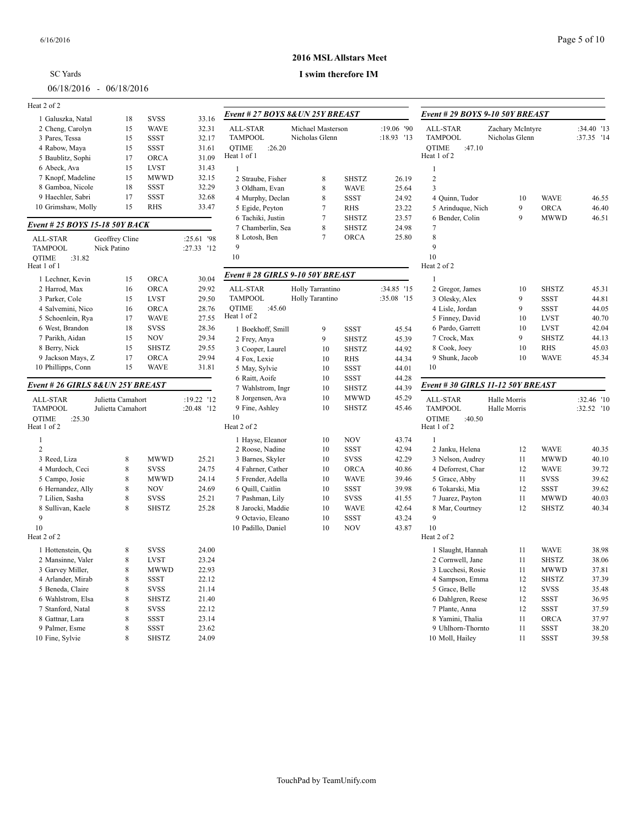| <b>SC</b> Yards           |  |  |  |
|---------------------------|--|--|--|
| $06/18/2016 - 06/18/2016$ |  |  |  |
| $+2.5$                    |  |  |  |

#### 6/16/2016 Page 5 of 10

### **2016 MSL Allstars Meet**

| Heat 2 of 2                           |                   |              |               |                        |
|---------------------------------------|-------------------|--------------|---------------|------------------------|
| 1 Galuszka, Natal                     | 18                | SVSS         | 33.16         | Event # 27 BOYS        |
| 2 Cheng, Carolyn                      | 15                | WAVE         | 32.31         | <b>ALL-STAR</b>        |
| 3 Pares, Tessa                        | 15                | <b>SSST</b>  | 32.17         | <b>TAMPOOL</b>         |
| 4 Rabow, Maya                         | 15                | SSST         | 31.61         | <b>OTIME</b><br>:26.20 |
| 5 Baublitz, Sophi                     | 17                | <b>ORCA</b>  | 31.09         | Heat 1 of 1            |
| 6 Abeck, Ava                          | 15                | <b>LVST</b>  | 31.43         | 1                      |
| 7 Knopf, Madeline                     | 15                | <b>MWWD</b>  | 32.15         | 2 Straube, Fisher      |
| 8 Gamboa, Nicole                      | 18                | SSST         | 32.29         | 3 Oldham, Evan         |
| 9 Haechler, Sabri                     | 17                | SSST         | 32.68         | 4 Murphy, Decla        |
| 10 Grimshaw, Molly                    | 15                | RHS          | 33.47         | 5 Egide, Peyton        |
| Event # 25 BOYS 15-18 50Y BACK        |                   |              |               | 6 Tachiki, Justin      |
|                                       |                   |              |               | 7 Chamberlin, So       |
| <b>ALL-STAR</b>                       | Geoffrey Cline    |              | :25.61<br>'98 | 8 Lotosh, Ben          |
| <b>TAMPOOL</b>                        | Nick Patino       |              | :27.33<br>'12 | 9                      |
| <b>OTIME</b><br>:31.82<br>Heat 1 of 1 |                   |              |               | 10                     |
| 1 Lechner, Kevin                      | 15                | ORCA         | 30.04         | Event # 28 GIRLS       |
| 2 Harrod, Max                         | 16                | <b>ORCA</b>  | 29.92         | ALL-STAR               |
| 3 Parker, Cole                        | 15                | <b>LVST</b>  | 29.50         | <b>TAMPOOL</b>         |
| 4 Salvemini, Nico                     | 16                | <b>ORCA</b>  | 28.76         | OTIME<br>:45.60        |
| 5 Schoenlein, Rya                     | 17                | <b>WAVE</b>  | 27.55         | Heat 1 of 2            |
| 6 West, Brandon                       | 18                | <b>SVSS</b>  | 28.36         | 1 Boekhoff, Smi        |
| 7 Parikh, Aidan                       | 15                | <b>NOV</b>   | 29.34         | 2 Frey, Anya           |
| 8 Berry, Nick                         | 15                | <b>SHSTZ</b> | 29.55         | 3 Cooper, Laurel       |
| 9 Jackson Mays, Z                     | 17                | <b>ORCA</b>  | 29.94         | 4 Fox, Lexie           |
| 10 Phillipps, Conn                    | 15                | WAVE         | 31.81         | 5 May, Sylvie          |
|                                       |                   |              |               | 6 Raitt, Aoife         |
| Event # 26 GIRLS 8& UN 25Y BREAST     |                   |              |               | 7 Wahlstrom, Ing       |
| <b>ALL-STAR</b>                       | Julietta Camahort |              | :19.22 '12    | 8 Jorgensen, Ava       |
| <b>TAMPOOL</b>                        | Julietta Camahort |              | :20.48<br>12  | 9 Fine, Ashley         |
| <b>OTIME</b><br>:25.30                |                   |              |               | 10                     |
| Heat 1 of 2                           |                   |              |               | Heat 2 of 2            |
| 1                                     |                   |              |               | 1 Hayse, Eleanor       |
| $\overline{c}$                        |                   |              |               | 2 Roose, Nadine        |
| 3 Reed, Liza                          | 8                 | <b>MWWD</b>  | 25.21         | 3 Barnes, Skyler       |
| 4 Murdoch, Ceci                       | 8                 | SVSS         | 24.75         | 4 Fahrner, Cathe       |
| 5 Campo, Josie                        | 8                 | <b>MWWD</b>  | 24.14         | 5 Frender, Adella      |
| 6 Hernandez, Ally                     | 8                 | NOV          | 24.69         | 6 Quill, Caitlin       |
| 7 Lilien, Sasha                       | 8                 | <b>SVSS</b>  | 25.21         | 7 Pashman, Lily        |
| 8 Sullivan, Kaele                     | 8                 | <b>SHSTZ</b> | 25.28         | 8 Jarocki, Maddi       |
| 9                                     |                   |              |               | 9 Octavio, Elean       |
| 10                                    |                   |              |               | 10 Padillo, Daniel     |
| Heat 2 of 2                           |                   |              |               |                        |
| 1 Hottenstein, Qu                     | 8                 | <b>SVSS</b>  | 24.00         |                        |
| 2 Mansinne, Valer                     | 8                 | <b>LVST</b>  | 23.24         |                        |
| 3 Garvey Miller,                      | 8                 | <b>MWWD</b>  | 22.93         |                        |
| 4 Arlander, Mirab                     | 8                 | <b>SSST</b>  | 22.12         |                        |
| 5 Beneda, Claire                      | 8                 | <b>SVSS</b>  | 21.14         |                        |
| 6 Wahlstrom, Elsa                     | 8                 | <b>SHSTZ</b> | 21.40         |                        |
| 7 Stanford, Natal                     | 8                 | <b>SVSS</b>  | 22.12         |                        |
| 8 Gattnar, Lara                       | 8                 | <b>SSST</b>  | 23.14         |                        |
|                                       |                   |              |               |                        |

| at 2 of 2                        |                               |              |            |                                    |                   |                             |                |                        |
|----------------------------------|-------------------------------|--------------|------------|------------------------------------|-------------------|-----------------------------|----------------|------------------------|
| 1 Galuszka, Natal                | 18                            | <b>SVSS</b>  | 33.16      | Event # 27 BOYS 8&UN 25Y BREAST    |                   |                             |                | Event # 29 BOYS        |
| 2 Cheng, Carolyn                 | 15                            | WAVE         | 32.31      | ALL-STAR                           | Michael Masterson |                             | :19.06 '90     | <b>ALL-STAR</b>        |
| 3 Pares, Tessa                   | 15                            | SSST         | 32.17      | <b>TAMPOOL</b>                     | Nicholas Glenn    |                             | :18.93 '13     | TAMPOOL                |
| 4 Rabow, Maya                    | 15                            | SSST         | 31.61      | <b>OTIME</b><br>:26.20             |                   |                             |                | <b>OTIME</b><br>:47.10 |
| 5 Baublitz, Sophi                | 17                            | <b>ORCA</b>  | 31.09      | Heat 1 of 1                        |                   |                             |                | Heat 1 of 2            |
| 6 Abeck, Ava                     | 15                            | LVST         | 31.43      | $\mathbf{1}$                       |                   |                             |                | $\mathbf{1}$           |
| 7 Knopf, Madeline                | 15                            | <b>MWWD</b>  | 32.15      | 2 Straube, Fisher                  | 8                 | SHSTZ                       | 26.19          | $\overline{c}$         |
| 8 Gamboa, Nicole                 | 18                            | SSST         | 32.29      | 3 Oldham, Evan                     | 8                 | <b>WAVE</b>                 | 25.64          | 3                      |
| 9 Haechler, Sabri                | 17                            | <b>SSST</b>  | 32.68      | 4 Murphy, Declan                   | 8                 | SSST                        | 24.92          | 4 Quinn, Tudor         |
| 10 Grimshaw, Molly               | 15                            | <b>RHS</b>   | 33.47      | 5 Egide, Peyton                    | 7                 | RHS                         | 23.22          | 5 Arinduque, Nio       |
| vent # 25 BOYS 15-18 50Y BACK    |                               |              |            | 6 Tachiki, Justin                  | $\tau$            | <b>SHSTZ</b>                | 23.57          | 6 Bender, Colin        |
|                                  |                               |              |            | 7 Chamberlin, Sea<br>8 Lotosh, Ben | 8<br>$\tau$       | <b>SHSTZ</b><br><b>ORCA</b> | 24.98<br>25.80 | 7<br>8                 |
| <b>ALL-STAR</b><br><b>AMPOOL</b> | Geoffrey Cline<br>Nick Patino |              | :25.61 '98 | 9                                  |                   |                             |                | 9                      |
|                                  |                               |              | :27.33 '12 | 10                                 |                   |                             |                | 10                     |
| )TIME<br>:31.82<br>at 1 of 1:    |                               |              |            |                                    |                   |                             |                | Heat 2 of 2            |
| 1 Lechner, Kevin                 | 15                            | <b>ORCA</b>  | 30.04      | Event # 28 GIRLS 9-10 50Y BREAST   |                   |                             |                | $\mathbf{1}$           |
| 2 Harrod, Max                    | 16                            | <b>ORCA</b>  | 29.92      | ALL-STAR                           | Holly Tarrantino  |                             | :34.85 '15     | 2 Gregor, James        |
| 3 Parker, Cole                   | 15                            | LVST         | 29.50      | <b>TAMPOOL</b>                     | Holly Tarantino   |                             | :35.08 '15     | 3 Olesky, Alex         |
| 4 Salvemini, Nico                | 16                            | <b>ORCA</b>  | 28.76      | <b>OTIME</b><br>:45.60             |                   |                             |                | 4 Lisle, Jordan        |
| 5 Schoenlein, Rya                | 17                            | WAVE         | 27.55      | Heat 1 of 2                        |                   |                             |                | 5 Finney, David        |
| 6 West, Brandon                  | 18                            | <b>SVSS</b>  | 28.36      | 1 Boekhoff, Smill                  | 9                 | SSST                        | 45.54          | 6 Pardo, Garrett       |
| 7 Parikh, Aidan                  | 15                            | <b>NOV</b>   | 29.34      | 2 Frey, Anya                       | 9                 | <b>SHSTZ</b>                | 45.39          | 7 Crock, Max           |
| 8 Berry, Nick                    | 15                            | <b>SHSTZ</b> | 29.55      | 3 Cooper, Laurel                   | 10                | <b>SHSTZ</b>                | 44.92          | 8 Cook, Joey           |
| 9 Jackson Mays, Z                | 17                            | <b>ORCA</b>  | 29.94      | 4 Fox, Lexie                       | 10                | RHS                         | 44.34          | 9 Shunk, Jacob         |
| 10 Phillipps, Conn               | 15                            | WAVE         | 31.81      | 5 May, Sylvie                      | 10                | <b>SSST</b>                 | 44.01          | 10                     |
|                                  |                               |              |            | 6 Raitt, Aoife                     | 10                | <b>SSST</b>                 | 44.28          |                        |
| ent # 26 GIRLS 8&UN 25Y BREAST   |                               |              |            | 7 Wahlstrom, Ingr                  | 10                | SHSTZ                       | 44.39          | Event # 30 GIRLS       |
| ALL-STAR                         | Julietta Camahort             |              | :19.22 '12 | 8 Jorgensen, Ava                   | 10                | <b>MWWD</b>                 | 45.29          | <b>ALL-STAR</b>        |
| <b>AMPOOL</b>                    | Julietta Camahort             |              | :20.48 '12 | 9 Fine, Ashley                     | 10                | <b>SHSTZ</b>                | 45.46          | <b>TAMPOOL</b>         |
| <b>TIME</b><br>:25.30            |                               |              |            | 10                                 |                   |                             |                | <b>OTIME</b><br>:40.50 |
| at 1 of 2:                       |                               |              |            | Heat 2 of 2                        |                   |                             |                | Heat 1 of 2            |
| $\mathbf{1}$                     |                               |              |            | 1 Hayse, Eleanor                   | 10                | <b>NOV</b>                  | 43.74          | $\mathbf{1}$           |
| 2                                |                               |              |            | 2 Roose, Nadine                    | 10                | SSST                        | 42.94          | 2 Janku, Helena        |
| 3 Reed, Liza                     | 8                             | <b>MWWD</b>  | 25.21      | 3 Barnes, Skyler                   | 10                | <b>SVSS</b>                 | 42.29          | 3 Nelson, Audrey       |
| 4 Murdoch, Ceci                  | 8                             | <b>SVSS</b>  | 24.75      | 4 Fahrner, Cather                  | 10                | <b>ORCA</b>                 | 40.86          | 4 Deforrest, Cha       |
| 5 Campo, Josie                   | 8                             | <b>MWWD</b>  | 24.14      | 5 Frender, Adella                  | 10                | <b>WAVE</b>                 | 39.46          | 5 Grace, Abby          |
| 6 Hernandez, Ally                | 8                             | <b>NOV</b>   | 24.69      | 6 Quill, Caitlin                   | 10                | <b>SSST</b>                 | 39.98          | 6 Tokarski, Mia        |
| 7 Lilien, Sasha                  | 8                             | SVSS         | 25.21      | 7 Pashman, Lily                    | 10                | <b>SVSS</b>                 | 41.55          | 7 Juarez, Payton       |
| 8 Sullivan, Kaele                | 8                             | <b>SHSTZ</b> | 25.28      | 8 Jarocki, Maddie                  | 10                | <b>WAVE</b>                 | 42.64          | 8 Mar, Courtney        |
| 9                                |                               |              |            | 9 Octavio, Eleano                  | 10                | SSST                        | 43.24          | 9                      |
| 10                               |                               |              |            | 10 Padillo, Daniel                 | 10                | <b>NOV</b>                  | 43.87          | 10                     |
| at 2 of 2                        |                               |              |            |                                    |                   |                             |                | Heat 2 of 2            |
| 1 Hottenstein, Qu                | 8                             | <b>SVSS</b>  | 24.00      |                                    |                   |                             |                | 1 Slaught, Hanna       |
| 2 Mansinne, Valer                | 8                             | LVST         | 23.24      |                                    |                   |                             |                | 2 Cornwell, Jane       |
| 3 Garvey Miller,                 | 8                             | <b>MWWD</b>  | 22.93      |                                    |                   |                             |                | 3 Lucchesi, Rosi       |
| 4 Arlander, Mirab                | 8                             | SSST         | 22.12      |                                    |                   |                             |                | 4 Sampson, Emn         |
| 5 Beneda, Claire                 | 8                             | <b>SVSS</b>  | 21.14      |                                    |                   |                             |                | 5 Grace, Belle         |
| 6 Wahlstrom, Elsa                | 8                             | SHSTZ        | 21.40      |                                    |                   |                             |                | 6 Dahlgren, Rees       |
| 7 Stanford, Natal                | 8                             | <b>SVSS</b>  | 22.12      |                                    |                   |                             |                | 7 Plante, Anna         |
| 8 Gattnar, Lara                  | 8                             | SSST         | 23.14      |                                    |                   |                             |                | 8 Yamini, Thalia       |
| 9 Palmer, Esme                   | $\,$ 8 $\,$                   | <b>SSST</b>  | 23.62      |                                    |                   |                             |                | 9 Uhlhorn-Thorr        |
| 10 Fine, Sylvie                  | 8                             | <b>SHSTZ</b> | 24.09      |                                    |                   |                             |                | 10 Moll, Hailey        |

| Event # 29 BOYS 9-10 50Y BREAST                                     |                                    |             |                          |
|---------------------------------------------------------------------|------------------------------------|-------------|--------------------------|
| ALL-STAR<br><b>TAMPOOL</b><br><b>OTIME</b><br>:47.10<br>Heat 1 of 2 | Zachary McIntyre<br>Nicholas Glenn |             | :34.40 '13<br>:37.35 '14 |
| 1                                                                   |                                    |             |                          |
| $\overline{2}$                                                      |                                    |             |                          |
| 3                                                                   |                                    |             |                          |
| 4 Quinn, Tudor                                                      | 10                                 | <b>WAVE</b> | 46.55                    |
| 5 Arinduque, Nich                                                   | 9                                  | <b>ORCA</b> | 46.40                    |
| 6 Bender, Colin                                                     | 9                                  | <b>MWWD</b> | 46.51                    |
| 7                                                                   |                                    |             |                          |
| 8                                                                   |                                    |             |                          |
| 9                                                                   |                                    |             |                          |
| 10                                                                  |                                    |             |                          |
| Heat 2 of 2                                                         |                                    |             |                          |
| 1                                                                   |                                    |             |                          |
| 2 Gregor, James                                                     | 10                                 | SHSTZ       | 45.31                    |
| 3 Olesky, Alex                                                      | 9                                  | SSST        | 44.81                    |
| 4 Lisle, Jordan                                                     | 9                                  | SSST        | 44.05                    |
| 5 Finney, David                                                     | 10                                 | LVST        | 40.70                    |
| 6 Pardo, Garrett                                                    | 10                                 | LVST        | 42.04                    |
| 7 Crock, Max                                                        | 9                                  | SHSTZ       | 44.13                    |
| 8 Cook, Joey                                                        | 10                                 | RHS         | 45.03                    |
| 9 Shunk, Jacob                                                      | 10                                 | WAVE        | 45.34                    |
| 10                                                                  |                                    |             |                          |
| Event # 30 GIRLS 11-12 50Y BREAST                                   |                                    |             |                          |
| ALL-STAR<br><b>TAMPOOL</b>                                          | Halle Morris<br>Halle Morris       |             | :32.46 '10<br>:32.52 '10 |
| <b>OTIME</b><br>:40.50<br>Heat 1 of 2                               |                                    |             |                          |
| 1                                                                   |                                    |             |                          |
| 2 Janku, Helena                                                     | 12                                 | WAVE        | 40.35                    |
| 3 Nelson, Audrey                                                    | 11                                 | MWWD        | 40.10                    |
| 4 Deforrest, Char                                                   | 12                                 | WAVE        | 39.72                    |
| 5 Grace, Abby                                                       | 11                                 | <b>SVSS</b> | 39.62                    |
| 6 Tokarski, Mia                                                     | 12                                 | SSST        | 39.62                    |
| 7 Juarez, Payton                                                    | 11                                 | MWWD        | 40.03                    |
| 8 Mar, Courtney                                                     | 12                                 | SHSTZ       | 40.34                    |
| 9                                                                   |                                    |             |                          |
| 10                                                                  |                                    |             |                          |
| Heat 2 of 2                                                         |                                    |             |                          |
| 1 Slaught, Hannah                                                   | 11                                 | <b>WAVE</b> | 38.98                    |
| 2 Cornwell, Jane                                                    | 11                                 | SHSTZ       | 38.06                    |
| 3 Lucchesi, Rosie                                                   | 11                                 | MWWD        | 37.81                    |
| 4 Sampson, Emma                                                     | 12                                 | SHSTZ       | 37.39                    |
| 5 Grace, Belle                                                      | 12                                 | SVSS        | 35.48                    |
| 6 Dahlgren, Reese                                                   | 12                                 | SSST        | 36.95                    |
| 7 Plante, Anna                                                      | 12                                 | SSST        | 37.59                    |
| 8 Yamini, Thalia                                                    | 11                                 | ORCA        | 37.97                    |
| 9 Uhlhorn-Thornto                                                   | 11                                 | SSST        | 38.20                    |
| 10 Moll, Hailey                                                     | 11                                 | <b>SSST</b> | 39.58                    |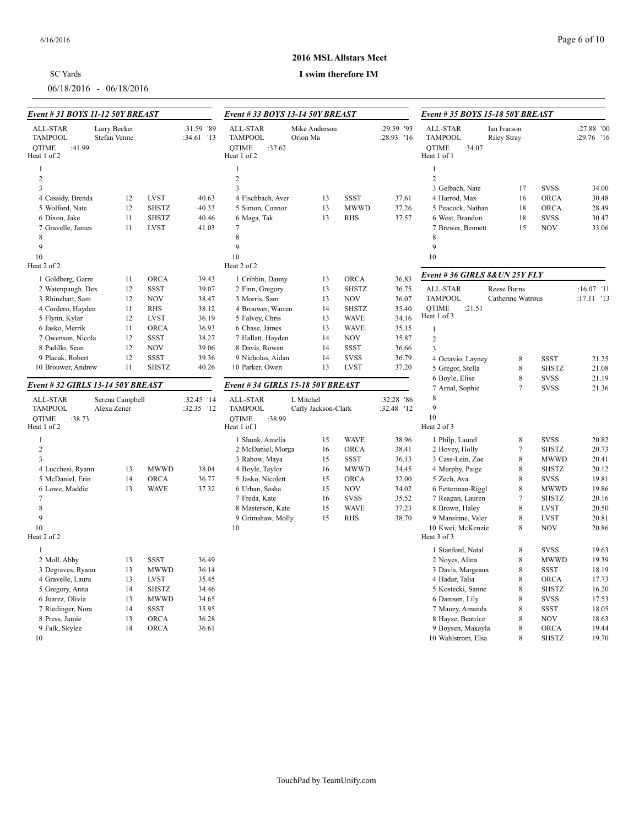| <b>SC</b> Yards |  |
|-----------------|--|
|                 |  |

06/18/2016 - 06/18/2016

### **2016 MSL Allstars Meet**

| Event # 31 BOYS 11-12 50Y BREAST                                    |                                |              |                            | Event #33 BOYS 13-14 50Y BREAST                                     |                                  |              |                          | Event # 35 BOYS 15-18 50Y BREAST                                    |                                   |                            |                          |
|---------------------------------------------------------------------|--------------------------------|--------------|----------------------------|---------------------------------------------------------------------|----------------------------------|--------------|--------------------------|---------------------------------------------------------------------|-----------------------------------|----------------------------|--------------------------|
| ALL-STAR<br><b>TAMPOOL</b><br><b>OTIME</b><br>:41.99<br>Heat 1 of 2 | Larry Becker<br>Stefan Venne   |              | :31.59 '89<br>:34.61 '13   | ALL-STAR<br><b>TAMPOOL</b><br><b>OTIME</b><br>:37.62<br>Heat 1 of 2 | Mike Anderson<br>Orion Ma        |              | :29.59 '93<br>:28.93 '16 | ALL-STAR<br><b>TAMPOOL</b><br><b>OTIME</b><br>:34.07<br>Heat 1 of 1 | Ian Ivarson<br><b>Riley Stray</b> |                            | :27.88 '00<br>:29.76 '16 |
| 1                                                                   |                                |              |                            |                                                                     |                                  |              |                          | $\mathbf{1}$                                                        |                                   |                            |                          |
| $\overline{2}$                                                      |                                |              |                            | $\overline{2}$                                                      |                                  |              |                          | $\overline{2}$                                                      |                                   |                            |                          |
| 3                                                                   |                                |              |                            | $\overline{3}$                                                      |                                  |              |                          | 3 Gelbach, Nate                                                     | 17                                | <b>SVSS</b>                | 34.00                    |
| 4 Cassidy, Brenda                                                   | 12                             | <b>LVST</b>  | 40.63                      | 4 Fischbach, Aver                                                   | 13                               | <b>SSST</b>  | 37.61                    | 4 Harrod, Max                                                       | 16                                | ORCA                       | 30.48                    |
| 5 Wolford, Nate                                                     | 12                             | <b>SHSTZ</b> | 40.33                      | 5 Simon, Connor                                                     | 13                               | <b>MWWD</b>  | 37.26                    | 5 Peacock, Nathan                                                   | 18                                | <b>ORCA</b>                | 28.49                    |
| 6 Dixon, Jake                                                       | 11                             | <b>SHSTZ</b> | 40.46                      | 6 Maga, Tak                                                         | 13                               | <b>RHS</b>   | 37.57                    | 6 West, Brandon                                                     | 18                                | <b>SVSS</b>                | 30.47                    |
| 7 Gravelle, James                                                   | 11                             | <b>LVST</b>  | 41.03                      | $\tau$                                                              |                                  |              |                          | 7 Brewer, Bennett                                                   | 15                                | <b>NOV</b>                 | 33.06                    |
| 8                                                                   |                                |              |                            | 8                                                                   |                                  |              |                          | 8                                                                   |                                   |                            |                          |
| 9                                                                   |                                |              |                            | 9                                                                   |                                  |              |                          | 9                                                                   |                                   |                            |                          |
| 10                                                                  |                                |              |                            | 10                                                                  |                                  |              |                          | 10                                                                  |                                   |                            |                          |
| Heat 2 of 2                                                         |                                |              |                            | Heat 2 of 2                                                         |                                  |              |                          |                                                                     |                                   |                            |                          |
| 1 Goldberg, Garre                                                   | 11                             | <b>ORCA</b>  | 39.43                      | 1 Cribbin, Danny                                                    | 13                               | <b>ORCA</b>  | 36.83                    | Event # 36 GIRLS 8& UN 25Y FLY                                      |                                   |                            |                          |
| 2 Watenpaugh, Dex                                                   | 12                             | <b>SSST</b>  | 39.07                      | 2 Finn, Gregory                                                     | 13                               | <b>SHSTZ</b> | 36.75                    | ALL-STAR                                                            | Reese Burns                       |                            | $:16.07$ '11             |
| 3 Rhinehart, Sam                                                    | 12                             | <b>NOV</b>   | 38.47                      | 3 Morris, Sam                                                       | 13                               | <b>NOV</b>   | 36.07                    | <b>TAMPOOL</b>                                                      | Catherine Watrous                 |                            | :17.11 '13               |
| 4 Cordero, Hayden                                                   | 11                             | <b>RHS</b>   | 38.12                      | 4 Brouwer, Warren                                                   | 14                               | <b>SHSTZ</b> | 35.40                    | <b>OTIME</b><br>:21.51                                              |                                   |                            |                          |
| 5 Flynn, Kylar                                                      | 12                             | <b>LVST</b>  | 36.19                      | 5 Falvey, Chris                                                     | 13                               | <b>WAVE</b>  | 34.16                    | Heat 1 of 3                                                         |                                   |                            |                          |
| 6 Jasko, Merrik                                                     | 11                             | ORCA         | 36.93                      | 6 Chase, James                                                      | 13                               | <b>WAVE</b>  | 35.15                    | $\mathbf{1}$                                                        |                                   |                            |                          |
| 7 Owenson, Nicola                                                   | 12                             | <b>SSST</b>  | 38.27                      | 7 Hallatt, Hayden                                                   | 14                               | <b>NOV</b>   | 35.87                    | 2                                                                   |                                   |                            |                          |
| 8 Padillo, Sean                                                     | 12                             | <b>NOV</b>   | 39.06                      | 8 Davis, Rowan                                                      | 14                               | SSST         | 36.66                    | $\overline{3}$                                                      |                                   |                            |                          |
| 9 Placak, Robert                                                    | 12                             | <b>SSST</b>  | 39.36                      | 9 Nicholas, Aidan                                                   | 14                               | <b>SVSS</b>  | 36.79                    | 4 Octavio, Layney                                                   | 8                                 | <b>SSST</b>                | 21.25                    |
| 10 Brouwer, Andrew                                                  | 11                             | <b>SHSTZ</b> | 40.26                      | 10 Parker, Owen                                                     | 13                               | <b>LVST</b>  | 37.20                    | 5 Gregor, Stella                                                    | $\,$ 8 $\,$                       | <b>SHSTZ</b>               | 21.08                    |
| Event # 32 GIRLS 13-14 50Y BREAST                                   |                                |              |                            | Event #34 GIRLS 15-18 50Y BREAST                                    |                                  |              |                          | 6 Boyle, Elise<br>7 Arnal, Sophie                                   | $\,$ 8 $\,$<br>$\overline{7}$     | <b>SVSS</b><br><b>SVSS</b> | 21.19<br>21.36           |
| ALL-STAR<br><b>TAMPOOL</b>                                          | Serena Campbell<br>Alexa Zener |              | :32.45 '14<br>$:32.35$ '12 | ALL-STAR<br><b>TAMPOOL</b>                                          | L Mitchel<br>Carly Jackson-Clark |              | :32.28 '86<br>:32.48 '12 | 8<br>9                                                              |                                   |                            |                          |
| :38.73<br><b>OTIME</b><br>Heat 1 of 2                               |                                |              |                            | :38.99<br><b>OTIME</b><br>Heat 1 of 1                               |                                  |              |                          | 10<br>Heat 2 of 3                                                   |                                   |                            |                          |
| 1                                                                   |                                |              |                            | 1 Shunk, Amelia                                                     | 15                               | <b>WAVE</b>  | 38.96                    | 1 Philp, Laurel                                                     | 8                                 | <b>SVSS</b>                | 20.82                    |
| $\sqrt{2}$                                                          |                                |              |                            | 2 McDaniel, Morga                                                   | 16                               | <b>ORCA</b>  | 38.41                    | 2 Hovey, Holly                                                      | $\tau$                            | <b>SHSTZ</b>               | 20.73                    |
| 3                                                                   |                                |              |                            | 3 Rabow, Maya                                                       | 15                               | <b>SSST</b>  | 36.13                    | 3 Cass-Lein, Zoe                                                    | $\,$ 8 $\,$                       | <b>MWWD</b>                | 20.41                    |
| 4 Lucchesi, Ryann                                                   | 13                             | <b>MWWD</b>  | 38.04                      | 4 Boyle, Taylor                                                     | 16                               | <b>MWWD</b>  | 34.45                    | 4 Murphy, Paige                                                     | $\,$ 8 $\,$                       | <b>SHSTZ</b>               | 20.12                    |
| 5 McDaniel, Erin                                                    | 14                             | <b>ORCA</b>  | 36.77                      | 5 Jasko, Nicolett                                                   | 15                               | <b>ORCA</b>  | 32.00                    | 5 Zech, Ava                                                         | 8                                 | <b>SVSS</b>                | 19.81                    |
| 6 Lowe, Maddie                                                      | 13                             | <b>WAVE</b>  | 37.32                      | 6 Urban, Sasha                                                      | 15                               | <b>NOV</b>   | 34.02                    | 6 Fetterman-Riggl                                                   | $\,$ 8 $\,$                       | <b>MWWD</b>                | 19.86                    |
| 7                                                                   |                                |              |                            | 7 Freda, Kate                                                       | 16                               | <b>SVSS</b>  | 35.52                    | 7 Reagan, Lauren                                                    | $\tau$                            | <b>SHSTZ</b>               | 20.16                    |
| 8                                                                   |                                |              |                            | 8 Masterson, Kate                                                   | 15                               | <b>WAVE</b>  | 37.23                    | 8 Brown, Haley                                                      | $\,$ 8 $\,$                       | <b>LVST</b>                | 20.50                    |
| 9                                                                   |                                |              |                            | 9 Grimshaw, Molly                                                   | 15                               | <b>RHS</b>   | 38.70                    | 9 Mansinne, Valer                                                   | $\,$ 8 $\,$                       | <b>LVST</b>                | 20.81                    |
| 10<br>Heat 2 of 2                                                   |                                |              |                            | 10                                                                  |                                  |              |                          | 10 Kwei, McKenzie<br>Heat 3 of 3                                    | 8                                 | <b>NOV</b>                 | 20.86                    |
|                                                                     |                                |              |                            |                                                                     |                                  |              |                          |                                                                     |                                   |                            |                          |
| $\mathbf{1}$                                                        |                                |              |                            |                                                                     |                                  |              |                          | 1 Stanford, Natal                                                   | $\,$ 8 $\,$                       | <b>SVSS</b>                | 19.63                    |
| 2 Moll, Abby                                                        | 13                             | <b>SSST</b>  | 36.49                      |                                                                     |                                  |              |                          | 2 Noyes, Alina                                                      | 8                                 | <b>MWWD</b>                | 19.39                    |
| 3 Degraves, Ryann                                                   | 13                             | <b>MWWD</b>  | 36.14                      |                                                                     |                                  |              |                          | 3 Davis, Margeaux                                                   | $\,$ 8 $\,$                       | <b>SSST</b>                | 18.19                    |
| 4 Gravelle, Laura                                                   | 13                             | <b>LVST</b>  | 35.45                      |                                                                     |                                  |              |                          | 4 Hadar, Talia                                                      | $\,$ 8 $\,$                       | <b>ORCA</b>                | 17.73                    |
| 5 Gregory, Anna                                                     | 14                             | <b>SHSTZ</b> | 34.46                      |                                                                     |                                  |              |                          | 5 Kostecki, Sanne                                                   | $\,$ 8 $\,$                       | <b>SHSTZ</b>               | 16.20                    |
| 6 Juarez, Olivia                                                    | 13                             | <b>MWWD</b>  | 34.65                      |                                                                     |                                  |              |                          | 6 Damsen, Lily                                                      | $\,8\,$                           | <b>SVSS</b>                | 17.53                    |
| 7 Riedinger, Nora                                                   | 14                             | <b>SSST</b>  | 35.95                      |                                                                     |                                  |              |                          | 7 Mauzy, Amanda                                                     | $\,$ 8 $\,$                       | <b>SSST</b>                | 18.05                    |
| 8 Press, Jamie                                                      | 13                             | <b>ORCA</b>  | 36.28                      |                                                                     |                                  |              |                          | 8 Hayse, Beatrice                                                   | 8                                 | <b>NOV</b>                 | 18.63                    |
| 9 Falk, Skylee                                                      | 14                             | <b>ORCA</b>  | 36.61                      |                                                                     |                                  |              |                          | 9 Boysen, Makayla                                                   | 8                                 | ORCA                       | 19.44                    |
| 10                                                                  |                                |              |                            |                                                                     |                                  |              |                          | 10 Wahlstrom, Elsa                                                  | 8                                 | <b>SHSTZ</b>               | 19.70                    |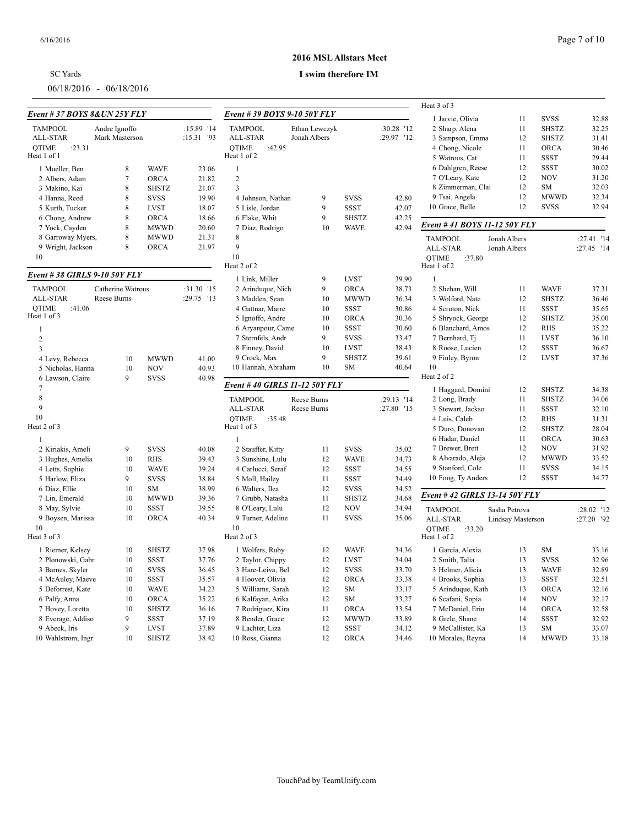## SC Yards

06/18/2016 - 06/18/2016

### **2016 MSL Allstars Meet**

|                               |                   |              |            |                               |                            |              |                          | Heat 3 of 3                           |                   |              |            |
|-------------------------------|-------------------|--------------|------------|-------------------------------|----------------------------|--------------|--------------------------|---------------------------------------|-------------------|--------------|------------|
| Event # 37 BOYS 8& UN 25Y FLY |                   |              |            | Event # 39 BOYS 9-10 50Y FLY  |                            |              |                          | 1 Jarvie, Olivia                      | 11                | <b>SVSS</b>  | 32.88      |
| <b>TAMPOOL</b>                | Andre Ignoffo     |              | :15.89 '14 | <b>TAMPOOL</b>                | Ethan Lewczyk              |              | :30.28 '12               | 2 Sharp, Alena                        | 11                | <b>SHSTZ</b> | 32.25      |
| ALL-STAR                      | Mark Masterson    |              | :15.31 '93 | ALL-STAR                      | Jonah Albers               |              | :29.97 '12               | 3 Sampson, Emma                       | 12                | <b>SHSTZ</b> | 31.41      |
| <b>OTIME</b><br>:23.31        |                   |              |            | :42.95<br><b>OTIME</b>        |                            |              |                          | 4 Chong, Nicole                       | 11                | <b>ORCA</b>  | 30.46      |
| Heat 1 of 1                   |                   |              |            | Heat 1 of 2                   |                            |              |                          | 5 Watrous, Cat                        | 11                | <b>SSST</b>  | 29.44      |
| 1 Mueller, Ben                | 8                 | <b>WAVE</b>  | 23.06      | 1                             |                            |              |                          | 6 Dahlgren, Reese                     | 12                | <b>SSST</b>  | 30.02      |
| 2 Albers, Adam                | $\overline{7}$    | <b>ORCA</b>  | 21.82      | $\sqrt{2}$                    |                            |              |                          | 7 O'Leary, Kate                       | 12                | <b>NOV</b>   | 31.20      |
| 3 Makino, Kai                 | 8                 | <b>SHSTZ</b> | 21.07      | $\overline{3}$                |                            |              |                          | 8 Zimmerman, Clai                     | 12                | SM           | 32.03      |
| 4 Hanna, Reed                 | 8                 | <b>SVSS</b>  | 19.90      | 4 Johnson, Nathan             | 9                          | <b>SVSS</b>  | 42.80                    | 9 Tsai, Angela                        | 12                | <b>MWWD</b>  | 32.34      |
| 5 Kurth, Tucker               | 8                 | <b>LVST</b>  | 18.07      | 5 Lisle, Jordan               | 9                          | <b>SSST</b>  | 42.07                    | 10 Grace, Belle                       | 12                | <b>SVSS</b>  | 32.94      |
| 6 Chong, Andrew               | 8                 | <b>ORCA</b>  | 18.66      | 6 Flake, Whit                 | 9                          | <b>SHSTZ</b> | 42.25                    |                                       |                   |              |            |
| 7 Yock, Cayden                | 8                 | <b>MWWD</b>  | 20.60      | 7 Diaz, Rodrigo               | 10                         | <b>WAVE</b>  | 42.94                    | Event # 41 BOYS 11-12 50Y FLY         |                   |              |            |
| 8 Garroway Myers,             | 8                 | <b>MWWD</b>  | 21.31      | 8                             |                            |              |                          |                                       |                   |              |            |
| 9 Wright, Jackson             | 8                 | <b>ORCA</b>  | 21.97      | 9                             |                            |              |                          | <b>TAMPOOL</b>                        | Jonah Albers      |              | :27.41 '14 |
| 10                            |                   |              |            | 10                            |                            |              |                          | ALL-STAR                              | Jonah Albers      |              | :27.45 '14 |
|                               |                   |              |            | Heat 2 of 2                   |                            |              |                          | <b>OTIME</b><br>:37.80<br>Heat 1 of 2 |                   |              |            |
| Event #38 GIRLS 9-10 50Y FLY  |                   |              |            | 1 Link, Miller                | 9                          | <b>LVST</b>  | 39.90                    | $\mathbf{1}$                          |                   |              |            |
| <b>TAMPOOL</b>                | Catherine Watrous |              | :31.30 '15 | 2 Arinduque, Nich             | 9                          | <b>ORCA</b>  | 38.73                    | 2 Shehan, Will                        | 11                | <b>WAVE</b>  | 37.31      |
| ALL-STAR                      | Reese Burns       |              | :29.75 '13 | 3 Madden, Sean                | 10                         | <b>MWWD</b>  | 36.34                    | 3 Wolford, Nate                       | 12                | <b>SHSTZ</b> | 36.46      |
| <b>OTIME</b><br>:41.06        |                   |              |            | 4 Gattnar, Marre              | 10                         | <b>SSST</b>  | 30.86                    | 4 Scruton, Nick                       | 11                | <b>SSST</b>  | 35.65      |
| Heat 1 of 3                   |                   |              |            | 5 Ignoffo, Andre              | 10                         | <b>ORCA</b>  | 30.36                    | 5 Shryock, George                     | 12                | <b>SHSTZ</b> | 35.00      |
| $\mathbf{1}$                  |                   |              |            | 6 Aryanpour, Came             | 10                         | <b>SSST</b>  | 30.60                    | 6 Blanchard, Amos                     | 12                | <b>RHS</b>   | 35.22      |
| $\overline{2}$                |                   |              |            | 7 Sternfels, Andr             | 9                          | <b>SVSS</b>  | 33.47                    | 7 Bernhard, Tj                        | 11                | <b>LVST</b>  | 36.10      |
| $\overline{3}$                |                   |              |            | 8 Finney, David               | 10                         | <b>LVST</b>  | 38.43                    | 8 Roose, Lucien                       | 12                | <b>SSST</b>  | 36.67      |
| 4 Levy, Rebecca               | 10                | <b>MWWD</b>  | 41.00      | 9 Crock, Max                  | 9                          | <b>SHSTZ</b> | 39.61                    | 9 Finley, Byron                       | 12                | <b>LVST</b>  | 37.36      |
| 5 Nicholas, Hanna             | 10                | <b>NOV</b>   | 40.93      | 10 Hannah, Abraham            | 10                         | <b>SM</b>    | 40.64                    | 10                                    |                   |              |            |
| 6 Lawson, Claire              | 9                 | <b>SVSS</b>  | 40.98      |                               |                            |              |                          | Heat 2 of 2                           |                   |              |            |
| 7                             |                   |              |            | Event #40 GIRLS 11-12 50Y FLY |                            |              |                          | 1 Haggard, Domini                     | 12                | <b>SHSTZ</b> | 34.38      |
| $\,$ 8 $\,$                   |                   |              |            | <b>TAMPOOL</b>                |                            |              |                          |                                       |                   |              |            |
| 9                             |                   |              |            | ALL-STAR                      | Reese Burns<br>Reese Burns |              | :29.13 '14<br>:27.80 '15 | 2 Long, Brady                         | 11                | <b>SHSTZ</b> | 34.06      |
| 10                            |                   |              |            | <b>OTIME</b>                  |                            |              |                          | 3 Stewart, Jackso                     | 11                | <b>SSST</b>  | 32.10      |
| Heat 2 of 3                   |                   |              |            | :35.48<br>Heat 1 of 3         |                            |              |                          | 4 Luis, Caleb                         | 12                | <b>RHS</b>   | 31.31      |
|                               |                   |              |            |                               |                            |              |                          | 5 Duro, Donovan                       | 12                | <b>SHSTZ</b> | 28.04      |
| 1                             |                   |              |            | $\mathbf{1}$                  |                            |              |                          | 6 Hadar, Daniel                       | 11                | <b>ORCA</b>  | 30.63      |
| 2 Kiriakis, Ameli             | 9                 | <b>SVSS</b>  | 40.08      | 2 Stauffer, Kitty             | 11                         | <b>SVSS</b>  | 35.02                    | 7 Brewer, Brett                       | 12                | <b>NOV</b>   | 31.92      |
| 3 Hughes, Amelia              | 10                | <b>RHS</b>   | 39.43      | 3 Sunshine, Lulu              | 12                         | <b>WAVE</b>  | 34.73                    | 8 Alvarado, Aleja                     | 12                | <b>MWWD</b>  | 33.52      |
| 4 Letts, Sophie               | 10                | <b>WAVE</b>  | 39.24      | 4 Carlucci, Seraf             | 12                         | <b>SSST</b>  | 34.55                    | 9 Stanford, Cole                      | 11                | <b>SVSS</b>  | 34.15      |
| 5 Harlow, Eliza               | 9                 | <b>SVSS</b>  | 38.84      | 5 Moll, Hailey                | 11                         | <b>SSST</b>  | 34.49                    | 10 Fong, Ty Anders                    | 12                | <b>SSST</b>  | 34.77      |
| 6 Diaz, Ellie                 | 10                | SM           | 38.99      | 6 Walters, Ilea               | 12                         | <b>SVSS</b>  | 34.52                    | Event #42 GIRLS 13-14 50Y FLY         |                   |              |            |
| 7 Lin, Emerald                | 10                | <b>MWWD</b>  | 39.36      | 7 Grubb, Natasha              | 11                         | <b>SHSTZ</b> | 34.68                    |                                       |                   |              |            |
| 8 May, Sylvie                 | 10                | <b>SSST</b>  | 39.55      | 8 O'Leary, Lulu               | 12                         | <b>NOV</b>   | 34.94                    | <b>TAMPOOL</b>                        | Sasha Petrova     |              | :28.02 '12 |
| 9 Boysen, Marissa             | 10                | ORCA         | 40.34      | 9 Turner, Adeline             | 11                         | <b>SVSS</b>  | 35.06                    | ALL-STAR                              | Lindsay Masterson |              | :27.20 '92 |
| 10<br>Heat 3 of 3             |                   |              |            | 10<br>Heat 2 of 3             |                            |              |                          | <b>OTIME</b><br>:33.20                |                   |              |            |
|                               |                   |              |            |                               |                            |              |                          | Heat 1 of 2                           |                   |              |            |
| 1 Riemer, Kelsey              | 10                | <b>SHSTZ</b> | 37.98      | 1 Wolfers, Ruby               | 12                         | <b>WAVE</b>  | 34.36                    | 1 Garcia, Alexia                      | 13                | <b>SM</b>    | 33.16      |
| 2 Plonowski, Gabr             | 10                | <b>SSST</b>  | 37.76      | 2 Taylor, Chippy              | 12                         | <b>LVST</b>  | 34.04                    | 2 Smith, Talia                        | 13                | <b>SVSS</b>  | 32.96      |
| 3 Barnes, Skyler              | 10                | <b>SVSS</b>  | 36.45      | 3 Hare-Leiva, Bel             | 12                         | <b>SVSS</b>  | 33.70                    | 3 Helmer, Alicia                      | 13                | <b>WAVE</b>  | 32.89      |
| 4 McAuley, Maeve              | 10                | <b>SSST</b>  | 35.57      | 4 Hoover, Olivia              | 12                         | <b>ORCA</b>  | 33.38                    | 4 Brooks, Sophia                      | 13                | <b>SSST</b>  | 32.51      |
| 5 Deforrest, Kate             | 10                | <b>WAVE</b>  | 34.23      | 5 Williams, Sarah             | 12                         | SM           | 33.17                    | 5 Arinduque, Kath                     | 13                | ORCA         | 32.16      |
| 6 Palfy, Anna                 | 10                | <b>ORCA</b>  | 35.22      | 6 Kalfayan, Arika             | 12                         | <b>SM</b>    | 33.27                    | 6 Scafani, Sopia                      | 14                | <b>NOV</b>   | 32.17      |
| 7 Hovey, Loretta              | 10                | <b>SHSTZ</b> | 36.16      | 7 Rodriguez, Kira             | 11                         | <b>ORCA</b>  | 33.54                    | 7 McDaniel, Erin                      | 14                | <b>ORCA</b>  | 32.58      |
| 8 Everage, Addiso             | 9                 | <b>SSST</b>  | 37.19      | 8 Bender, Grace               | 12                         | <b>MWWD</b>  | 33.89                    | 8 Grele, Shane                        | 14                | <b>SSST</b>  | 32.92      |
| 9 Abeck, Iris                 | 9                 | <b>LVST</b>  | 37.89      | 9 Lachter, Liza               | 12                         | <b>SSST</b>  | 34.12                    | 9 McCallister, Ka                     | 13                | SM           | 33.07      |
| 10 Wahlstrom, Ingr            | 10                | <b>SHSTZ</b> | 38.42      | 10 Ross, Gianna               | 12                         | <b>ORCA</b>  | 34.46                    | 10 Morales, Reyna                     | 14                | <b>MWWD</b>  | 33.18      |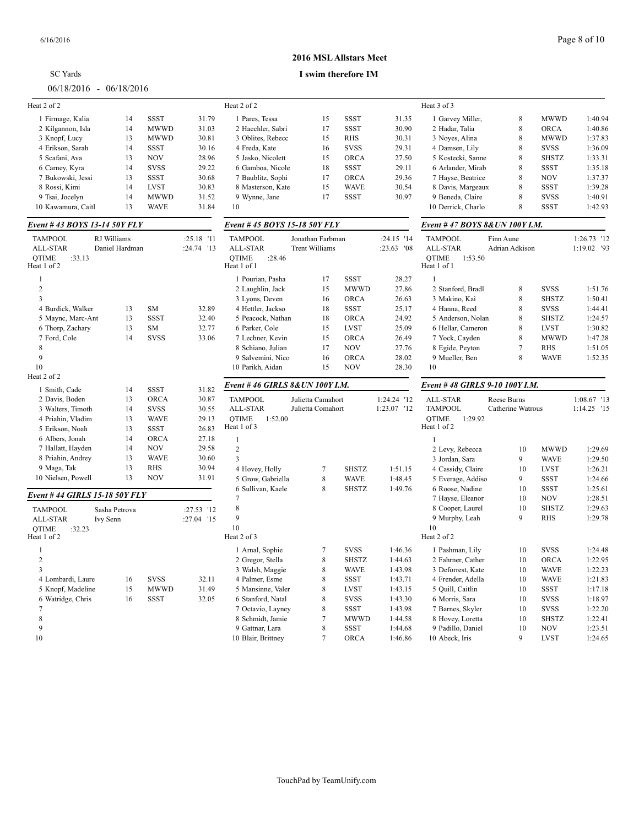| <b>SC</b> Yards           |  |  |  |
|---------------------------|--|--|--|
| $06/18/2016 - 06/18/2016$ |  |  |  |

### **2016 MSL Allstars Meet**

| Heat 2 of 2                           |                |             |              | Heat 2 of 2                           |                       |              |             | Heat 3 of 3                            |                   |              |             |
|---------------------------------------|----------------|-------------|--------------|---------------------------------------|-----------------------|--------------|-------------|----------------------------------------|-------------------|--------------|-------------|
| 1 Firmage, Kalia                      | 14             | <b>SSST</b> | 31.79        | 1 Pares, Tessa                        | 15                    | <b>SSST</b>  | 31.35       | 1 Garvey Miller,                       | 8                 | <b>MWWD</b>  | 1:40.94     |
| 2 Kilgannon, Isla                     | 14             | <b>MWWD</b> | 31.03        | 2 Haechler, Sabri                     | 17                    | <b>SSST</b>  | 30.90       | 2 Hadar, Talia                         | $\,$ 8 $\,$       | ORCA         | 1:40.86     |
| 3 Knopf, Lucy                         | 13             | <b>MWWD</b> | 30.81        | 3 Oblites, Rebecc                     | 15                    | <b>RHS</b>   | 30.31       | 3 Noyes, Alina                         | 8                 | <b>MWWD</b>  | 1:37.83     |
| 4 Erikson, Sarah                      | 14             | <b>SSST</b> | 30.16        | 4 Freda, Kate                         | 16                    | <b>SVSS</b>  | 29.31       | 4 Damsen, Lily                         | 8                 | <b>SVSS</b>  | 1:36.09     |
| 5 Scafani, Ava                        | 13             | <b>NOV</b>  | 28.96        | 5 Jasko, Nicolett                     | 15                    | <b>ORCA</b>  | 27.50       | 5 Kostecki, Sanne                      | $\,$ 8 $\,$       | <b>SHSTZ</b> | 1:33.31     |
| 6 Carney, Kyra                        | 14             | <b>SVSS</b> | 29.22        | 6 Gamboa, Nicole                      | 18                    | SSST         | 29.11       | 6 Arlander, Mirab                      | $\,$ 8 $\,$       | <b>SSST</b>  | 1:35.18     |
| 7 Bukowski, Jessi                     | 13             | SSST        | 30.68        | 7 Baublitz, Sophi                     | 17                    | <b>ORCA</b>  | 29.36       | 7 Hayse, Beatrice                      | $\,$ 8 $\,$       | <b>NOV</b>   | 1:37.37     |
| 8 Rossi, Kimi                         | 14             | <b>LVST</b> | 30.83        | 8 Masterson, Kate                     | 15                    | <b>WAVE</b>  | 30.54       | 8 Davis, Margeaux                      | $\,$ 8 $\,$       | <b>SSST</b>  | 1:39.28     |
| 9 Tsai, Jocelyn                       | 14             | <b>MWWD</b> | 31.52        | 9 Wynne, Jane                         | 17                    | <b>SSST</b>  | 30.97       | 9 Beneda, Claire                       | $\,$ 8 $\,$       | <b>SVSS</b>  | 1:40.91     |
| 10 Kawamura, Caitl                    | 13             | <b>WAVE</b> | 31.84        | 10                                    |                       |              |             | 10 Derrick, Charlo                     | $\,$ 8 $\,$       | <b>SSST</b>  | 1:42.93     |
| Event # 43 BOYS 13-14 50Y FLY         |                |             |              | Event #45 BOYS 15-18 50Y FLY          |                       |              |             | Event #47 BOYS 8&UN 100Y I.M.          |                   |              |             |
| <b>TAMPOOL</b>                        | RJ Williams    |             | :25.18 '11   | <b>TAMPOOL</b>                        | Jonathan Farbman      |              | :24.15 '14  | <b>TAMPOOL</b>                         | Finn Aune         |              | 1:26.73 '12 |
| ALL-STAR                              | Daniel Hardman |             | :24.74 '13   | ALL-STAR                              | <b>Trent Williams</b> |              | :23.63 '08  | ALL-STAR                               | Adrian Adkison    |              | 1:19.02 '93 |
| <b>OTIME</b><br>:33.13<br>Heat 1 of 2 |                |             |              | <b>OTIME</b><br>:28.46<br>Heat 1 of 1 |                       |              |             | <b>OTIME</b><br>1:53.50<br>Heat 1 of 1 |                   |              |             |
| -1                                    |                |             |              | 1 Pourian, Pasha                      | 17                    | <b>SSST</b>  | 28.27       | 1                                      |                   |              |             |
| $\overline{2}$                        |                |             |              | 2 Laughlin, Jack                      | 15                    | <b>MWWD</b>  | 27.86       | 2 Stanford, Bradl                      | 8                 | <b>SVSS</b>  | 1:51.76     |
| $\overline{\mathbf{3}}$               |                |             |              | 3 Lyons, Deven                        | 16                    | <b>ORCA</b>  | 26.63       | 3 Makino, Kai                          | $\,$ 8 $\,$       | <b>SHSTZ</b> | 1:50.41     |
| 4 Burdick, Walker                     | 13             | SM          | 32.89        | 4 Hettler, Jackso                     | 18                    | SSST         | 25.17       | 4 Hanna, Reed                          | $\,$ 8 $\,$       | <b>SVSS</b>  | 1:44.41     |
| 5 Maync, Marc-Ant                     | 13             | <b>SSST</b> | 32.40        | 5 Peacock, Nathan                     | 18                    | <b>ORCA</b>  | 24.92       | 5 Anderson, Nolan                      | $\,$ 8 $\,$       | <b>SHSTZ</b> | 1:24.57     |
| 6 Thorp, Zachary                      | 13             | SM          | 32.77        | 6 Parker, Cole                        | 15                    | <b>LVST</b>  | 25.09       | 6 Hellar, Cameron                      | 8                 | <b>LVST</b>  | 1:30.82     |
| 7 Ford, Cole                          | 14             | <b>SVSS</b> | 33.06        | 7 Lechner, Kevin                      | 15                    | <b>ORCA</b>  | 26.49       | 7 Yock, Cayden                         | $\,$ 8 $\,$       | <b>MWWD</b>  | 1:47.28     |
| 8                                     |                |             |              | 8 Schiano, Julian                     | 17                    | <b>NOV</b>   | 27.76       | 8 Egide, Peyton                        | 7                 | RHS          | 1:51.05     |
| 9                                     |                |             |              | 9 Salvemini, Nico                     | 16                    | <b>ORCA</b>  | 28.02       | 9 Mueller, Ben                         | $\,$ 8 $\,$       | <b>WAVE</b>  | 1:52.35     |
| 10                                    |                |             |              | 10 Parikh, Aidan                      | 15                    | <b>NOV</b>   | 28.30       | 10                                     |                   |              |             |
| Heat 2 of 2                           |                |             |              |                                       |                       |              |             |                                        |                   |              |             |
| 1 Smith, Cade                         | 14             | <b>SSST</b> | 31.82        | Event #46 GIRLS 8& UN 100Y I.M.       |                       |              |             | Event #48 GIRLS 9-10 100Y I.M.         |                   |              |             |
| 2 Davis, Boden                        | 13             | <b>ORCA</b> | 30.87        | <b>TAMPOOL</b>                        | Julietta Camahort     |              | 1:24.24 '12 | ALL-STAR                               | Reese Burns       |              | 1:08.67 '13 |
| 3 Walters, Timoth                     | 14             | <b>SVSS</b> | 30.55        | ALL-STAR                              | Julietta Comahort     |              | 1:23.07 '12 | <b>TAMPOOL</b>                         | Catherine Watrous |              | 1:14.25 '15 |
| 4 Priahin, Vladim                     | 13             | <b>WAVE</b> | 29.13        | <b>OTIME</b><br>1:52.00               |                       |              |             | <b>OTIME</b><br>1:29.92                |                   |              |             |
| 5 Erikson, Noah                       | 13             | <b>SSST</b> | 26.83        | Heat 1 of 3                           |                       |              |             | Heat 1 of 2                            |                   |              |             |
| 6 Albers, Jonah                       | 14             | <b>ORCA</b> | 27.18        | $\mathbf{1}$                          |                       |              |             |                                        |                   |              |             |
| 7 Hallatt, Hayden                     | 14             | <b>NOV</b>  | 29.58        | $\sqrt{2}$                            |                       |              |             | 2 Levy, Rebecca                        | 10                | <b>MWWD</b>  | 1:29.69     |
| 8 Priahin, Andrey                     | 13             | <b>WAVE</b> | 30.60        | 3                                     |                       |              |             | 3 Jordan, Sara                         | 9                 | <b>WAVE</b>  | 1:29.50     |
| 9 Maga, Tak                           | 13             | <b>RHS</b>  | 30.94        | 4 Hovey, Holly                        | 7                     | <b>SHSTZ</b> | 1:51.15     | 4 Cassidy, Claire                      | 10                | <b>LVST</b>  | 1:26.21     |
| 10 Nielsen, Powell                    | 13             | <b>NOV</b>  | 31.91        | 5 Grow, Gabriella                     | $\,$ 8 $\,$           | <b>WAVE</b>  | 1:48.45     | 5 Everage, Addiso                      | 9                 | <b>SSST</b>  | 1:24.66     |
|                                       |                |             |              | 6 Sullivan, Kaele                     | 8                     | <b>SHSTZ</b> | 1:49.76     | 6 Roose, Nadine                        | 10                | <b>SSST</b>  | 1:25.61     |
| Event #44 GIRLS 15-18 50Y FLY         |                |             |              | 7                                     |                       |              |             | 7 Hayse, Eleanor                       | 10                | <b>NOV</b>   | 1:28.51     |
| <b>TAMPOOL</b>                        | Sasha Petrova  |             | $:27.53$ '12 | $\,$ 8 $\,$                           |                       |              |             | 8 Cooper, Laurel                       | 10                | <b>SHSTZ</b> | 1:29.63     |
| <b>ALL-STAR</b>                       | Ivy Senn       |             | :27.04 '15   | 9                                     |                       |              |             | 9 Murphy, Leah                         | 9                 | <b>RHS</b>   | 1:29.78     |
| <b>QTIME</b><br>:32.23                |                |             |              | 10                                    |                       |              |             | 10                                     |                   |              |             |
| Heat 1 of 2                           |                |             |              | Heat 2 of 3                           |                       |              |             | Heat 2 of 2                            |                   |              |             |
| $\mathbf{1}$                          |                |             |              | 1 Arnal, Sophie                       | 7                     | <b>SVSS</b>  | 1:46.36     | 1 Pashman, Lily                        | 10                | <b>SVSS</b>  | 1:24.48     |
| $\overline{2}$                        |                |             |              | 2 Gregor, Stella                      | $\,$ 8 $\,$           | SHSTZ        | 1:44.63     | 2 Fahrner, Cather                      | $10\,$            | <b>ORCA</b>  | 1:22.95     |
| $\overline{\mathbf{3}}$               |                |             |              | 3 Walsh, Maggie                       | $\,$ 8 $\,$           | <b>WAVE</b>  | 1:43.98     | 3 Deforrest, Kate                      | 10                | <b>WAVE</b>  | 1:22.23     |
| 4 Lombardi, Laure                     | 16             | SVSS        | 32.11        | 4 Palmer, Esme                        | $\,$ 8 $\,$           | SSST         | 1:43.71     | 4 Frender, Adella                      | 10                | <b>WAVE</b>  | 1:21.83     |
| 5 Knopf, Madeline                     | 15             | <b>MWWD</b> | 31.49        | 5 Mansinne, Valer                     | $\,$ 8 $\,$           | <b>LVST</b>  | 1:43.15     | 5 Quill, Caitlin                       | 10                | SSST         | 1:17.18     |
| 6 Watridge, Chris                     | 16             | SSST        | 32.05        | 6 Stanford, Natal                     | $\,$ 8 $\,$           | <b>SVSS</b>  | 1:43.30     | 6 Morris, Sara                         | 10                | SVSS         | 1:18.97     |
| 7                                     |                |             |              | 7 Octavio, Layney                     | $\,$ 8 $\,$           | SSST         | 1:43.98     | 7 Barnes, Skyler                       | 10                | SVSS         | 1:22.20     |
| $\,8\,$                               |                |             |              | 8 Schmidt, Jamie                      | $\tau$                | <b>MWWD</b>  | 1:44.58     | 8 Hovey, Loretta                       | 10                | <b>SHSTZ</b> | 1:22.41     |
| 9                                     |                |             |              | 9 Gattnar, Lara                       | $\,$ 8 $\,$           | SSST         | 1:44.68     | 9 Padillo, Daniel                      | 10                | <b>NOV</b>   | 1:23.51     |
| 10                                    |                |             |              | 10 Blair, Brittney                    | $\tau$                | ORCA         | 1:46.86     | 10 Abeck, Iris                         | 9                 | <b>LVST</b>  | 1:24.65     |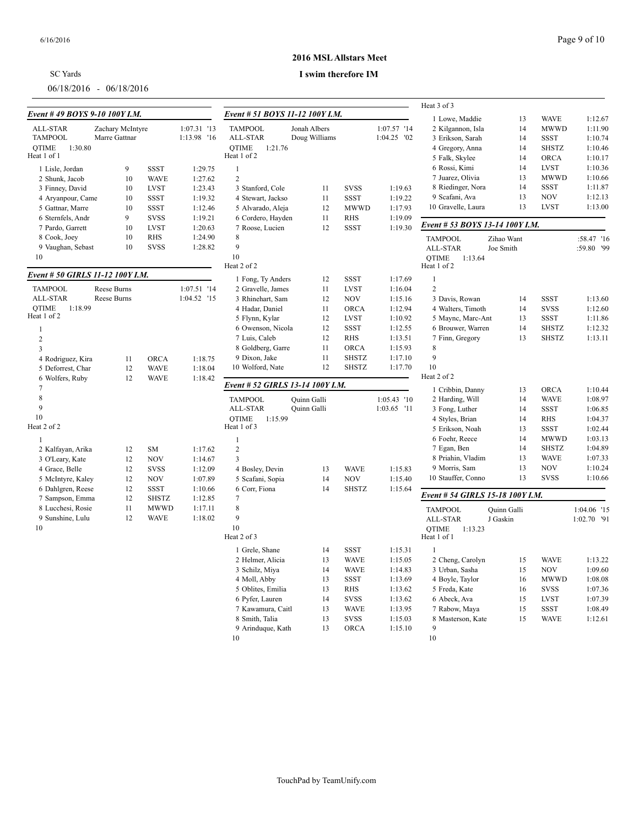## SC Yards

06/18/2016 - 06/18/2016

### **2016 MSL Allstars Meet**

#### **I swim therefore IM**

|                                  |                  |              |             |                                  |               |              |             | Heat 3 of 3                      |             |              |             |
|----------------------------------|------------------|--------------|-------------|----------------------------------|---------------|--------------|-------------|----------------------------------|-------------|--------------|-------------|
| Event #49 BOYS 9-10 100Y I.M.    |                  |              |             | Event # 51 BOYS 11-12 100Y I.M.  |               |              |             | 1 Lowe, Maddie                   | 13          | <b>WAVE</b>  | 1:12.67     |
| ALL-STAR                         | Zachary McIntyre |              | 1:07.31 '13 | <b>TAMPOOL</b>                   | Jonah Albers  |              | 1:07.57 '14 | 2 Kilgannon, Isla                | 14          | <b>MWWD</b>  | 1:11.90     |
| <b>TAMPOOL</b>                   | Marre Gattnar    |              | 1:13.98 '16 | ALL-STAR                         | Doug Williams |              | 1:04.25 '02 | 3 Erikson, Sarah                 | 14          | SSST         | 1:10.74     |
| <b>OTIME</b><br>1:30.80          |                  |              |             | <b>OTIME</b><br>1:21.76          |               |              |             | 4 Gregory, Anna                  | 14          | <b>SHSTZ</b> | 1:10.46     |
| Heat 1 of 1                      |                  |              |             | Heat 1 of 2                      |               |              |             | 5 Falk, Skylee                   | 14          | <b>ORCA</b>  | 1:10.17     |
| 1 Lisle, Jordan                  | 9                | <b>SSST</b>  | 1:29.75     | $\mathbf{1}$                     |               |              |             | 6 Rossi, Kimi                    | 14          | <b>LVST</b>  | 1:10.36     |
| 2 Shunk, Jacob                   | 10               | <b>WAVE</b>  | 1:27.62     | $\sqrt{2}$                       |               |              |             | 7 Juarez, Olivia                 | 13          | <b>MWWD</b>  | 1:10.66     |
| 3 Finney, David                  | 10               | <b>LVST</b>  | 1:23.43     | 3 Stanford, Cole                 | 11            | <b>SVSS</b>  | 1:19.63     | 8 Riedinger, Nora                | 14          | SSST         | 1:11.87     |
| 4 Aryanpour, Came                | 10               | <b>SSST</b>  | 1:19.32     | 4 Stewart, Jackso                | 11            | <b>SSST</b>  | 1:19.22     | 9 Scafani, Ava                   | 13          | <b>NOV</b>   | 1:12.13     |
| 5 Gattnar, Marre                 | 10               | <b>SSST</b>  | 1:12.46     | 5 Alvarado, Aleja                | 12            | <b>MWWD</b>  | 1:17.93     | 10 Gravelle, Laura               | 13          | <b>LVST</b>  | 1:13.00     |
| 6 Sternfels, Andr                | 9                | <b>SVSS</b>  | 1:19.21     | 6 Cordero, Hayden                | $11\,$        | <b>RHS</b>   | 1:19.09     |                                  |             |              |             |
| 7 Pardo, Garrett                 | 10               | <b>LVST</b>  | 1:20.63     | 7 Roose, Lucien                  | 12            | <b>SSST</b>  | 1:19.30     | Event # 53 BOYS 13-14 100Y I.M.  |             |              |             |
| 8 Cook, Joey                     | 10               | <b>RHS</b>   | 1:24.90     | $\,$ 8 $\,$                      |               |              |             | <b>TAMPOOL</b>                   | Zihao Want  |              | :58.47 '16  |
| 9 Vaughan, Sebast                | 10               | <b>SVSS</b>  | 1:28.82     | 9                                |               |              |             | ALL-STAR                         | Joe Smith   |              | :59.80 '99  |
| 10                               |                  |              |             | 10                               |               |              |             | <b>OTIME</b><br>1:13.64          |             |              |             |
|                                  |                  |              |             | Heat 2 of 2                      |               |              |             | Heat 1 of 2                      |             |              |             |
| Event # 50 GIRLS 11-12 100Y I.M. |                  |              |             | 1 Fong, Ty Anders                | 12            | <b>SSST</b>  | 1:17.69     | $\mathbf{1}$                     |             |              |             |
| <b>TAMPOOL</b>                   | Reese Burns      |              | 1:07.51 '14 | 2 Gravelle, James                | 11            | <b>LVST</b>  | 1:16.04     | $\overline{2}$                   |             |              |             |
| ALL-STAR                         | Reese Burns      |              | 1:04.52 '15 | 3 Rhinehart, Sam                 | 12            | <b>NOV</b>   | 1:15.16     | 3 Davis, Rowan                   | 14          | <b>SSST</b>  | 1:13.60     |
| QTIME<br>1:18.99                 |                  |              |             | 4 Hadar, Daniel                  | 11            | ORCA         | 1:12.94     | 4 Walters, Timoth                | 14          | <b>SVSS</b>  | 1:12.60     |
| Heat 1 of 2                      |                  |              |             | 5 Flynn, Kylar                   | 12            | <b>LVST</b>  | 1:10.92     | 5 Maync, Marc-Ant                | 13          | <b>SSST</b>  | 1:11.86     |
| $\mathbf{1}$                     |                  |              |             | 6 Owenson, Nicola                | 12            | <b>SSST</b>  | 1:12.55     | 6 Brouwer, Warren                | 14          | <b>SHSTZ</b> | 1:12.32     |
| $\overline{c}$                   |                  |              |             | 7 Luis, Caleb                    | 12            | <b>RHS</b>   | 1:13.51     | 7 Finn, Gregory                  | 13          | <b>SHSTZ</b> | 1:13.11     |
| $\overline{\mathbf{3}}$          |                  |              |             | 8 Goldberg, Garre                | 11            | <b>ORCA</b>  | 1:15.93     | 8                                |             |              |             |
| 4 Rodriguez, Kira                | 11               | <b>ORCA</b>  | 1:18.75     | 9 Dixon, Jake                    | 11            | <b>SHSTZ</b> | 1:17.10     | 9                                |             |              |             |
| 5 Deforrest, Char                | 12               | <b>WAVE</b>  | 1:18.04     | 10 Wolford, Nate                 | 12            | <b>SHSTZ</b> | 1:17.70     | 10                               |             |              |             |
| 6 Wolfers, Ruby                  | 12               | <b>WAVE</b>  | 1:18.42     |                                  |               |              |             | Heat 2 of 2                      |             |              |             |
| 7                                |                  |              |             | Event # 52 GIRLS 13-14 100Y I.M. |               |              |             | 1 Cribbin, Danny                 | 13          | <b>ORCA</b>  | 1:10.44     |
| $\,$ 8 $\,$                      |                  |              |             | <b>TAMPOOL</b>                   | Quinn Galli   |              | 1:05.43 '10 | 2 Harding, Will                  | 14          | <b>WAVE</b>  | 1:08.97     |
| 9                                |                  |              |             | ALL-STAR                         | Quinn Galli   |              | 1:03.65 '11 | 3 Fong, Luther                   | 14          | <b>SSST</b>  | 1:06.85     |
| 10                               |                  |              |             | <b>OTIME</b><br>1:15.99          |               |              |             | 4 Styles, Brian                  | 14          | <b>RHS</b>   | 1:04.37     |
| Heat 2 of 2                      |                  |              |             | Heat 1 of 3                      |               |              |             | 5 Erikson, Noah                  | 13          | <b>SSST</b>  | 1:02.44     |
| $\mathbf{1}$                     |                  |              |             | 1                                |               |              |             | 6 Foehr, Reece                   | 14          | <b>MWWD</b>  | 1:03.13     |
| 2 Kalfayan, Arika                | 12               | SM           | 1:17.62     | $\sqrt{2}$                       |               |              |             | 7 Egan, Ben                      | 14          | <b>SHSTZ</b> | 1:04.89     |
| 3 O'Leary, Kate                  | 12               | <b>NOV</b>   | 1:14.67     | 3                                |               |              |             | 8 Priahin, Vladim                | 13          | <b>WAVE</b>  | 1:07.33     |
| 4 Grace, Belle                   | 12               | <b>SVSS</b>  | 1:12.09     | 4 Bosley, Devin                  | 13            | <b>WAVE</b>  | 1:15.83     | 9 Morris, Sam                    | 13          | <b>NOV</b>   | 1:10.24     |
| 5 McIntyre, Kaley                | 12               | <b>NOV</b>   | 1:07.89     | 5 Scafani, Sopia                 | 14            | <b>NOV</b>   | 1:15.40     | 10 Stauffer, Conno               | 13          | <b>SVSS</b>  | 1:10.66     |
| 6 Dahlgren, Reese                | 12               | SSST         | 1:10.66     | 6 Corr, Fiona                    | 14            | <b>SHSTZ</b> | 1:15.64     |                                  |             |              |             |
| 7 Sampson, Emma                  | 12               | <b>SHSTZ</b> | 1:12.85     | 7                                |               |              |             | Event # 54 GIRLS 15-18 100Y I.M. |             |              |             |
| 8 Lucchesi, Rosie                | 11               | <b>MWWD</b>  | 1:17.11     | $\,$ 8 $\,$                      |               |              |             | <b>TAMPOOL</b>                   | Ouinn Galli |              | 1:04.06 '15 |
| 9 Sunshine, Lulu                 | 12               | <b>WAVE</b>  | 1:18.02     | 9                                |               |              |             | ALL-STAR                         | J Gaskin    |              | 1:02.70 '91 |
| 10                               |                  |              |             | 10                               |               |              |             | <b>OTIME</b><br>1:13.23          |             |              |             |
|                                  |                  |              |             | Heat 2 of 3                      |               |              |             | Heat 1 of 1                      |             |              |             |
|                                  |                  |              |             | 1 Grele, Shane                   | 14            | <b>SSST</b>  | 1:15.31     | $\mathbf{1}$                     |             |              |             |
|                                  |                  |              |             | 2 Helmer, Alicia                 | 13            | <b>WAVE</b>  | 1:15.05     | 2 Cheng, Carolyn                 | 15          | <b>WAVE</b>  | 1:13.22     |
|                                  |                  |              |             | 3 Schilz, Miya                   | 14            | <b>WAVE</b>  | 1:14.83     | 3 Urban, Sasha                   | 15          | <b>NOV</b>   | 1:09.60     |
|                                  |                  |              |             | 4 Moll, Abby                     | 13            | <b>SSST</b>  | 1:13.69     | 4 Boyle, Taylor                  | 16          | <b>MWWD</b>  | 1:08.08     |
|                                  |                  |              |             | 5 Oblites, Emilia                | 13            | <b>RHS</b>   | 1:13.62     | 5 Freda, Kate                    | 16          | <b>SVSS</b>  | 1:07.36     |
|                                  |                  |              |             | 6 Pyfer, Lauren                  | 14            | <b>SVSS</b>  | 1:13.62     | 6 Abeck, Ava                     | 15          | <b>LVST</b>  | 1:07.39     |
|                                  |                  |              |             | 7 Kawamura, Caitl                | 13            | <b>WAVE</b>  | 1:13.95     | 7 Rabow, Maya                    | 15          | <b>SSST</b>  | 1:08.49     |
|                                  |                  |              |             | 8 Smith, Talia                   | 13            | <b>SVSS</b>  | 1:15.03     | 8 Masterson, Kate                | 15          | <b>WAVE</b>  | 1:12.61     |
|                                  |                  |              |             | 9 Arinduque, Kath                | 13            | <b>ORCA</b>  | 1:15.10     | 9                                |             |              |             |
|                                  |                  |              |             | 10                               |               |              |             | 10                               |             |              |             |